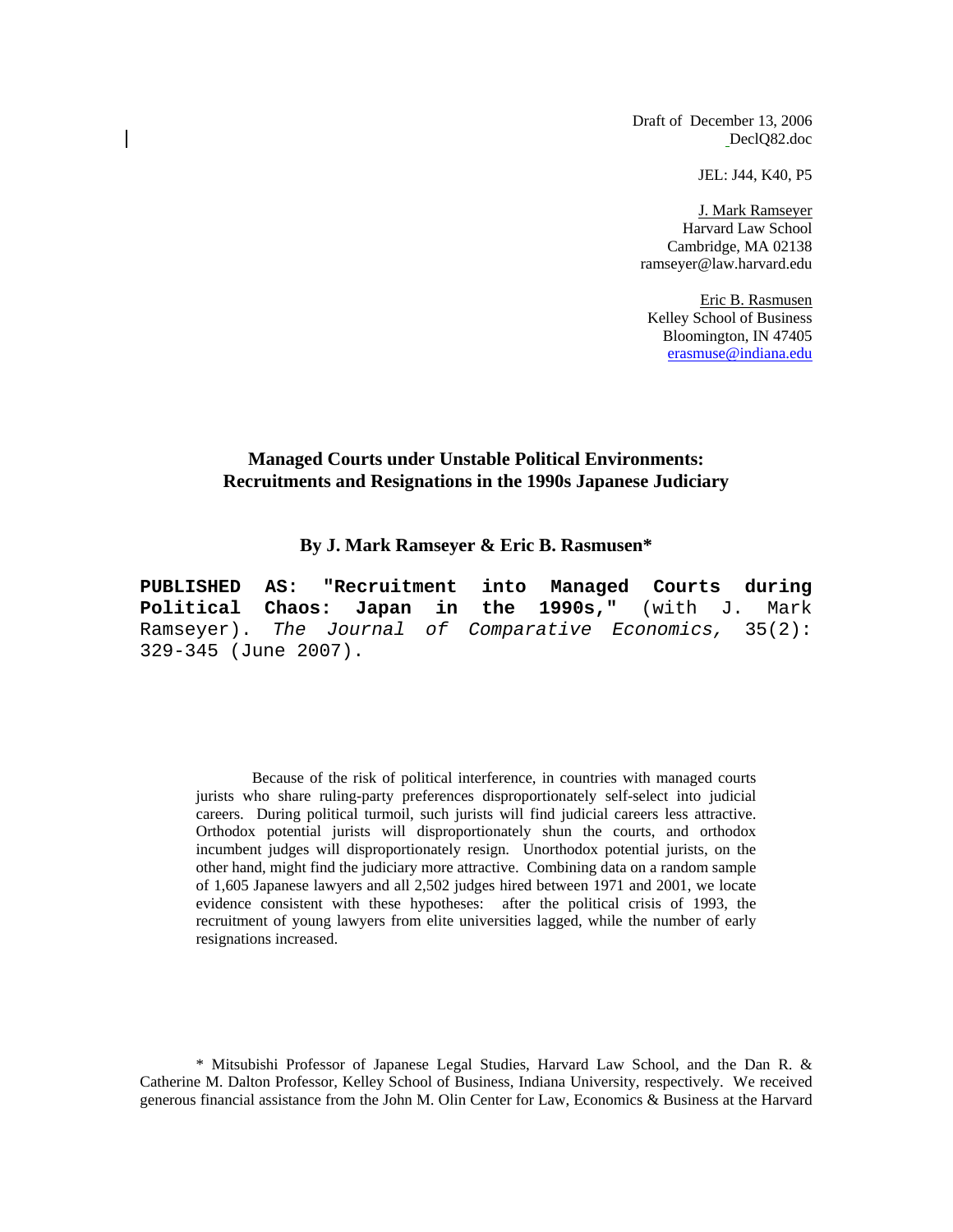Draft of December 13, 2006 DeclQ82.doc

JEL: J44, K40, P5

J. Mark Ramseyer Harvard Law School Cambridge, MA 02138 ramseyer@law.harvard.edu

Eric B. Rasmusen Kelley School of Business Bloomington, IN 47405 erasmuse@indiana.edu

#### **Managed Courts under Unstable Political Environments: Recruitments and Resignations in the 1990s Japanese Judiciary**

**By J. Mark Ramseyer & Eric B. Rasmusen\*** 

**PUBLISHED AS: "Recruitment into Managed Courts during Political Chaos: Japan in the 1990s,"** (with J. Mark Ramseyer). *The Journal of Comparative Economics,* 35(2): 329-345 (June 2007).

Because of the risk of political interference, in countries with managed courts jurists who share ruling-party preferences disproportionately self-select into judicial careers. During political turmoil, such jurists will find judicial careers less attractive. Orthodox potential jurists will disproportionately shun the courts, and orthodox incumbent judges will disproportionately resign. Unorthodox potential jurists, on the other hand, might find the judiciary more attractive. Combining data on a random sample of 1,605 Japanese lawyers and all 2,502 judges hired between 1971 and 2001, we locate evidence consistent with these hypotheses: after the political crisis of 1993, the recruitment of young lawyers from elite universities lagged, while the number of early resignations increased.

 \* Mitsubishi Professor of Japanese Legal Studies, Harvard Law School, and the Dan R. & Catherine M. Dalton Professor, Kelley School of Business, Indiana University, respectively. We received generous financial assistance from the John M. Olin Center for Law, Economics & Business at the Harvard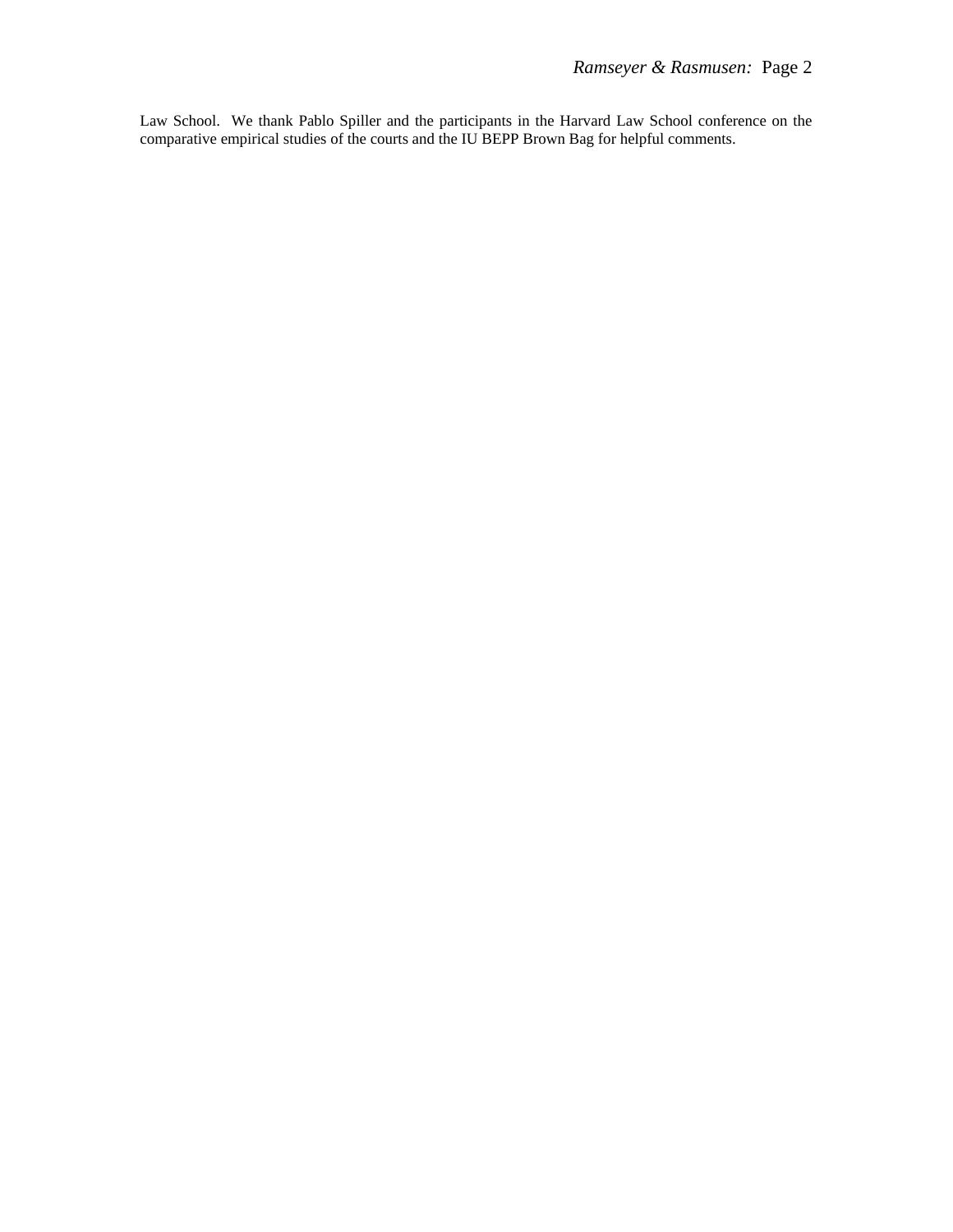Law School. We thank Pablo Spiller and the participants in the Harvard Law School conference on the comparative empirical studies of the courts and the IU BEPP Brown Bag for helpful comments.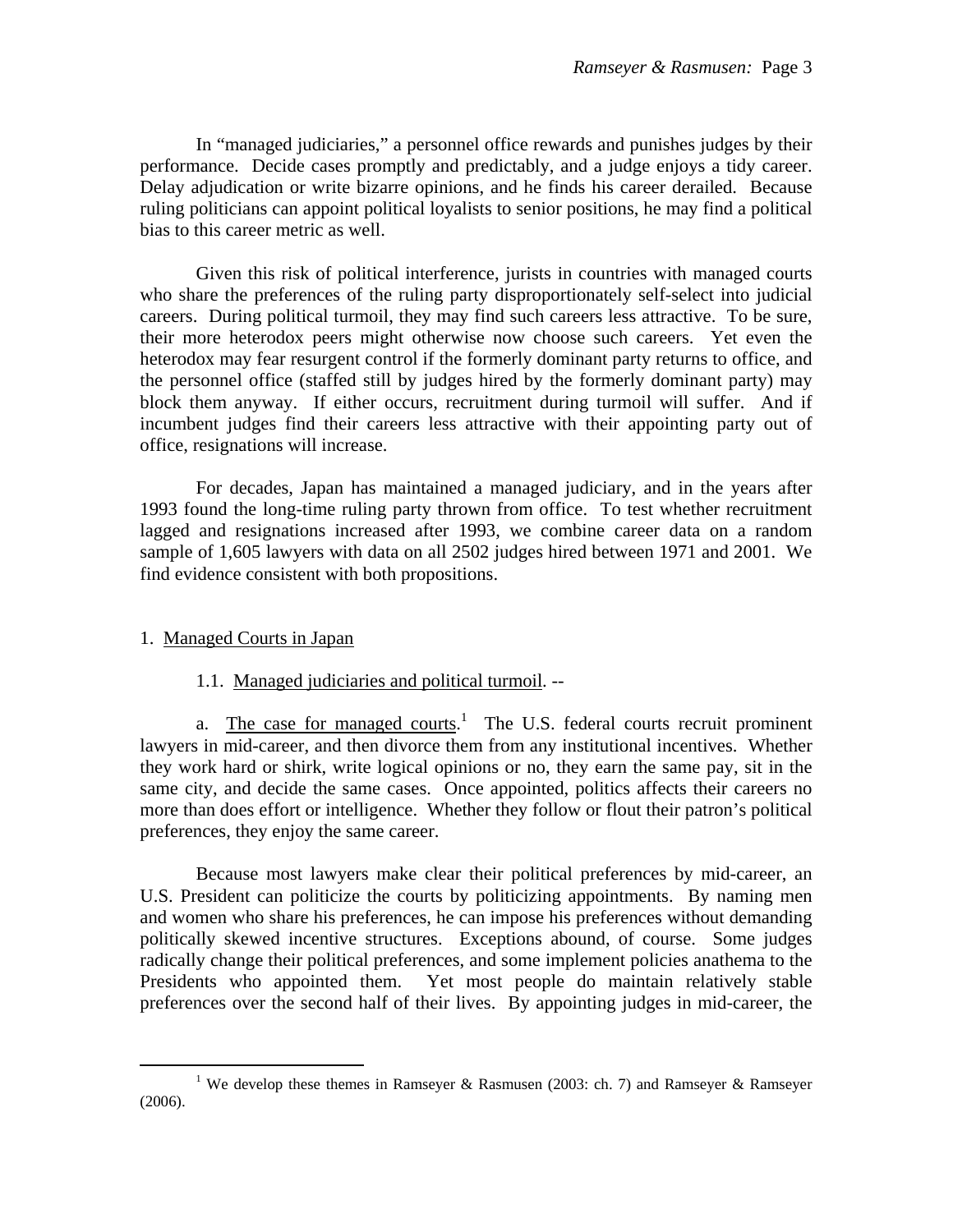In "managed judiciaries," a personnel office rewards and punishes judges by their performance. Decide cases promptly and predictably, and a judge enjoys a tidy career. Delay adjudication or write bizarre opinions, and he finds his career derailed. Because ruling politicians can appoint political loyalists to senior positions, he may find a political bias to this career metric as well.

 Given this risk of political interference, jurists in countries with managed courts who share the preferences of the ruling party disproportionately self-select into judicial careers. During political turmoil, they may find such careers less attractive. To be sure, their more heterodox peers might otherwise now choose such careers. Yet even the heterodox may fear resurgent control if the formerly dominant party returns to office, and the personnel office (staffed still by judges hired by the formerly dominant party) may block them anyway. If either occurs, recruitment during turmoil will suffer. And if incumbent judges find their careers less attractive with their appointing party out of office, resignations will increase.

 For decades, Japan has maintained a managed judiciary, and in the years after 1993 found the long-time ruling party thrown from office. To test whether recruitment lagged and resignations increased after 1993, we combine career data on a random sample of 1,605 lawyers with data on all 2502 judges hired between 1971 and 2001. We find evidence consistent with both propositions.

# 1. Managed Courts in Japan

## 1.1. Managed judiciaries and political turmoil. --

a. The case for managed courts.<sup>1</sup> The U.S. federal courts recruit prominent lawyers in mid-career, and then divorce them from any institutional incentives. Whether they work hard or shirk, write logical opinions or no, they earn the same pay, sit in the same city, and decide the same cases. Once appointed, politics affects their careers no more than does effort or intelligence. Whether they follow or flout their patron's political preferences, they enjoy the same career.

 Because most lawyers make clear their political preferences by mid-career, an U.S. President can politicize the courts by politicizing appointments. By naming men and women who share his preferences, he can impose his preferences without demanding politically skewed incentive structures. Exceptions abound, of course. Some judges radically change their political preferences, and some implement policies anathema to the Presidents who appointed them. Yet most people do maintain relatively stable preferences over the second half of their lives. By appointing judges in mid-career, the

 $\frac{1}{1}$  We develop these themes in Ramseyer & Rasmusen (2003: ch. 7) and Ramseyer & Ramseyer (2006).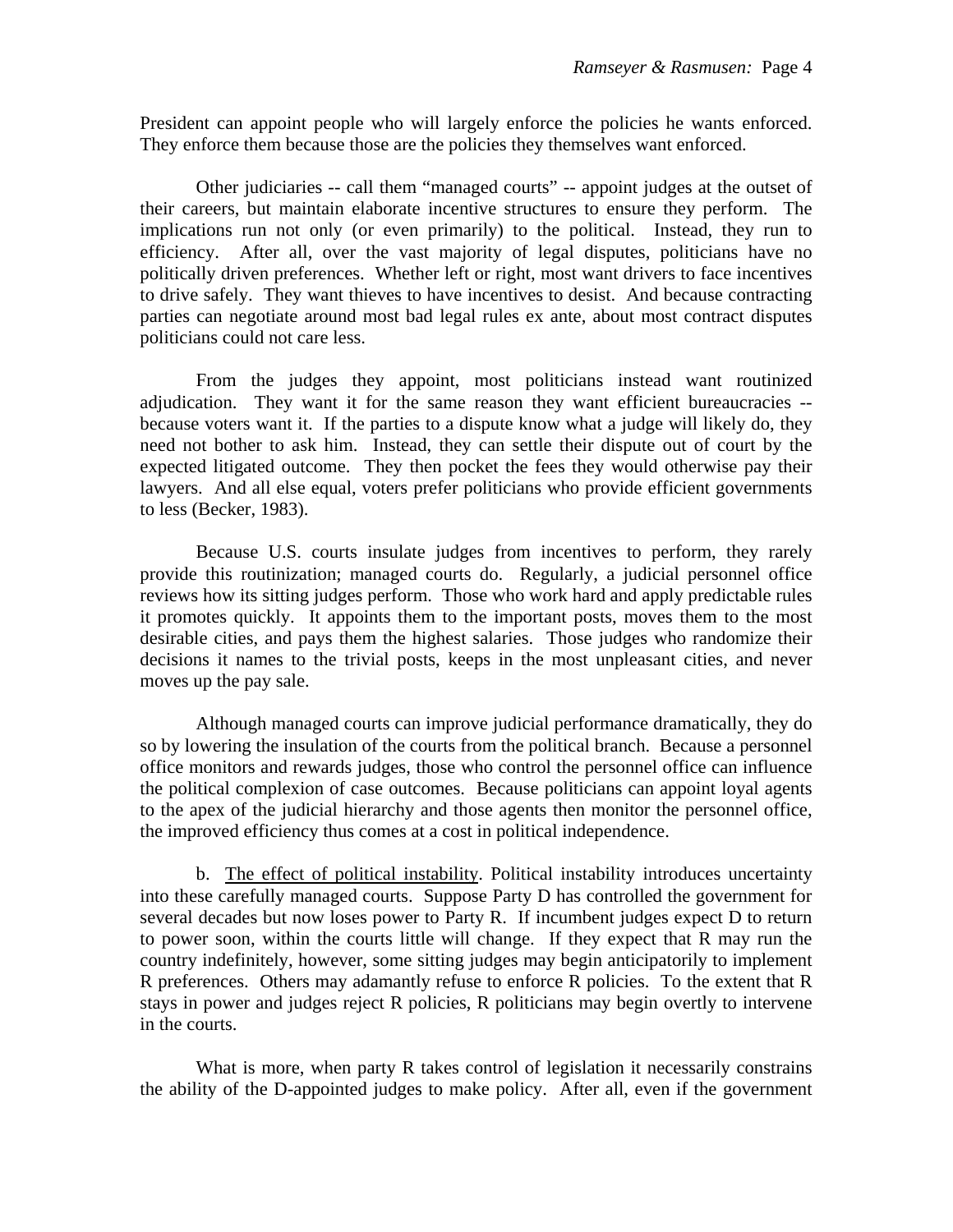President can appoint people who will largely enforce the policies he wants enforced. They enforce them because those are the policies they themselves want enforced.

 Other judiciaries -- call them "managed courts" -- appoint judges at the outset of their careers, but maintain elaborate incentive structures to ensure they perform. The implications run not only (or even primarily) to the political. Instead, they run to efficiency. After all, over the vast majority of legal disputes, politicians have no politically driven preferences. Whether left or right, most want drivers to face incentives to drive safely. They want thieves to have incentives to desist. And because contracting parties can negotiate around most bad legal rules ex ante, about most contract disputes politicians could not care less.

 From the judges they appoint, most politicians instead want routinized adjudication. They want it for the same reason they want efficient bureaucracies - because voters want it. If the parties to a dispute know what a judge will likely do, they need not bother to ask him. Instead, they can settle their dispute out of court by the expected litigated outcome. They then pocket the fees they would otherwise pay their lawyers. And all else equal, voters prefer politicians who provide efficient governments to less (Becker, 1983).

 Because U.S. courts insulate judges from incentives to perform, they rarely provide this routinization; managed courts do. Regularly, a judicial personnel office reviews how its sitting judges perform. Those who work hard and apply predictable rules it promotes quickly. It appoints them to the important posts, moves them to the most desirable cities, and pays them the highest salaries. Those judges who randomize their decisions it names to the trivial posts, keeps in the most unpleasant cities, and never moves up the pay sale.

 Although managed courts can improve judicial performance dramatically, they do so by lowering the insulation of the courts from the political branch. Because a personnel office monitors and rewards judges, those who control the personnel office can influence the political complexion of case outcomes. Because politicians can appoint loyal agents to the apex of the judicial hierarchy and those agents then monitor the personnel office, the improved efficiency thus comes at a cost in political independence.

 b. The effect of political instability. Political instability introduces uncertainty into these carefully managed courts. Suppose Party D has controlled the government for several decades but now loses power to Party R. If incumbent judges expect D to return to power soon, within the courts little will change. If they expect that R may run the country indefinitely, however, some sitting judges may begin anticipatorily to implement R preferences. Others may adamantly refuse to enforce R policies. To the extent that R stays in power and judges reject R policies, R politicians may begin overtly to intervene in the courts.

What is more, when party R takes control of legislation it necessarily constrains the ability of the D-appointed judges to make policy. After all, even if the government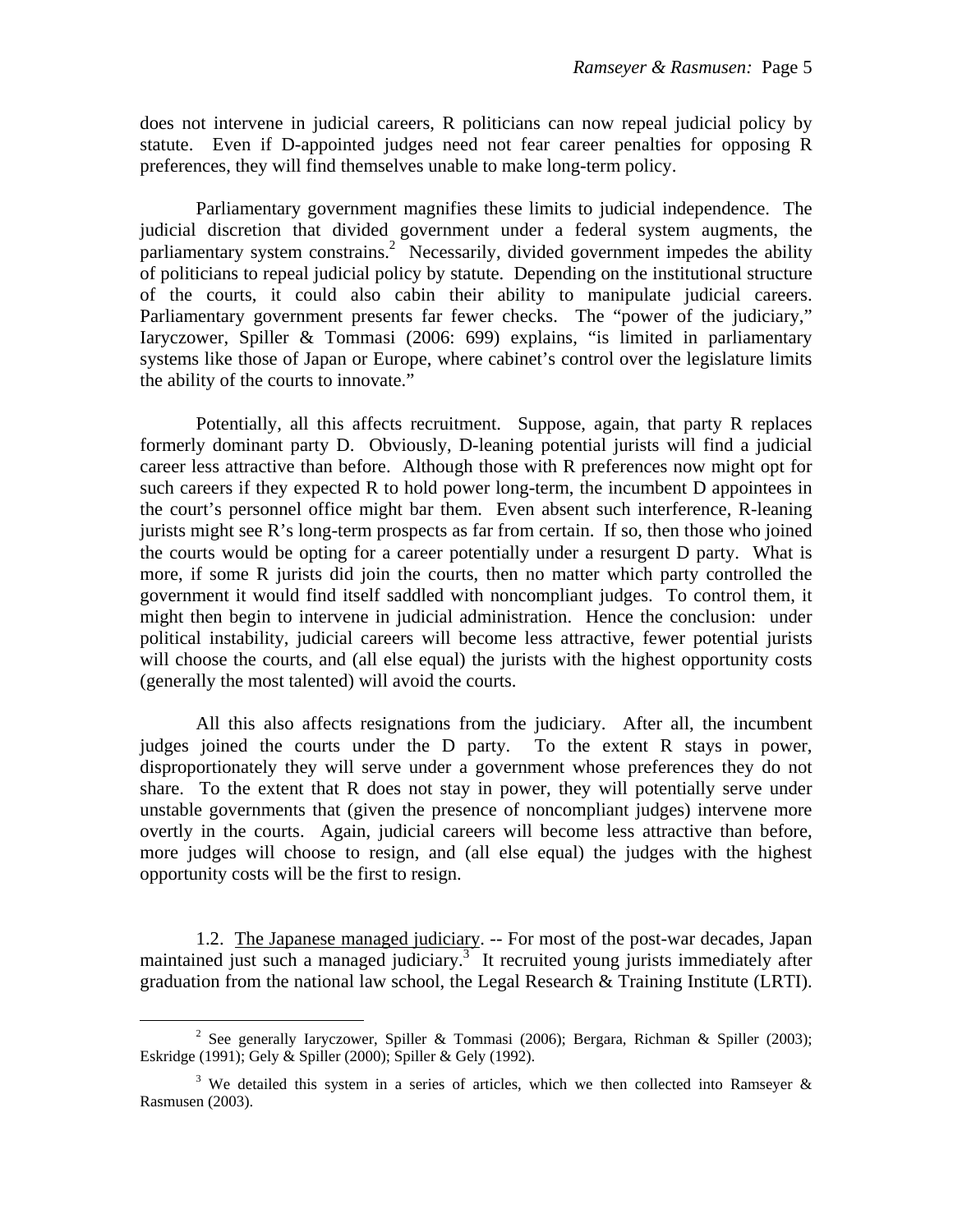does not intervene in judicial careers, R politicians can now repeal judicial policy by statute. Even if D-appointed judges need not fear career penalties for opposing R preferences, they will find themselves unable to make long-term policy.

 Parliamentary government magnifies these limits to judicial independence. The judicial discretion that divided government under a federal system augments, the parliamentary system constrains.<sup>2</sup> Necessarily, divided government impedes the ability of politicians to repeal judicial policy by statute. Depending on the institutional structure of the courts, it could also cabin their ability to manipulate judicial careers. Parliamentary government presents far fewer checks. The "power of the judiciary," Iaryczower, Spiller & Tommasi (2006: 699) explains, "is limited in parliamentary systems like those of Japan or Europe, where cabinet's control over the legislature limits the ability of the courts to innovate."

 Potentially, all this affects recruitment. Suppose, again, that party R replaces formerly dominant party D. Obviously, D-leaning potential jurists will find a judicial career less attractive than before. Although those with R preferences now might opt for such careers if they expected R to hold power long-term, the incumbent D appointees in the court's personnel office might bar them. Even absent such interference, R-leaning jurists might see R's long-term prospects as far from certain. If so, then those who joined the courts would be opting for a career potentially under a resurgent D party. What is more, if some R jurists did join the courts, then no matter which party controlled the government it would find itself saddled with noncompliant judges. To control them, it might then begin to intervene in judicial administration. Hence the conclusion: under political instability, judicial careers will become less attractive, fewer potential jurists will choose the courts, and (all else equal) the jurists with the highest opportunity costs (generally the most talented) will avoid the courts.

 All this also affects resignations from the judiciary. After all, the incumbent judges joined the courts under the D party. To the extent R stays in power, disproportionately they will serve under a government whose preferences they do not share. To the extent that R does not stay in power, they will potentially serve under unstable governments that (given the presence of noncompliant judges) intervene more overtly in the courts. Again, judicial careers will become less attractive than before, more judges will choose to resign, and (all else equal) the judges with the highest opportunity costs will be the first to resign.

 1.2. The Japanese managed judiciary. -- For most of the post-war decades, Japan maintained just such a managed judiciary.<sup>3</sup> It recruited young jurists immediately after graduation from the national law school, the Legal Research & Training Institute (LRTI).

 $\frac{1}{2}$ <sup>2</sup> See generally Iaryczower, Spiller & Tommasi (2006); Bergara, Richman & Spiller (2003); Eskridge (1991); Gely & Spiller (2000); Spiller & Gely (1992).

<sup>&</sup>lt;sup>3</sup> We detailed this system in a series of articles, which we then collected into Ramseyer  $\&$ Rasmusen (2003).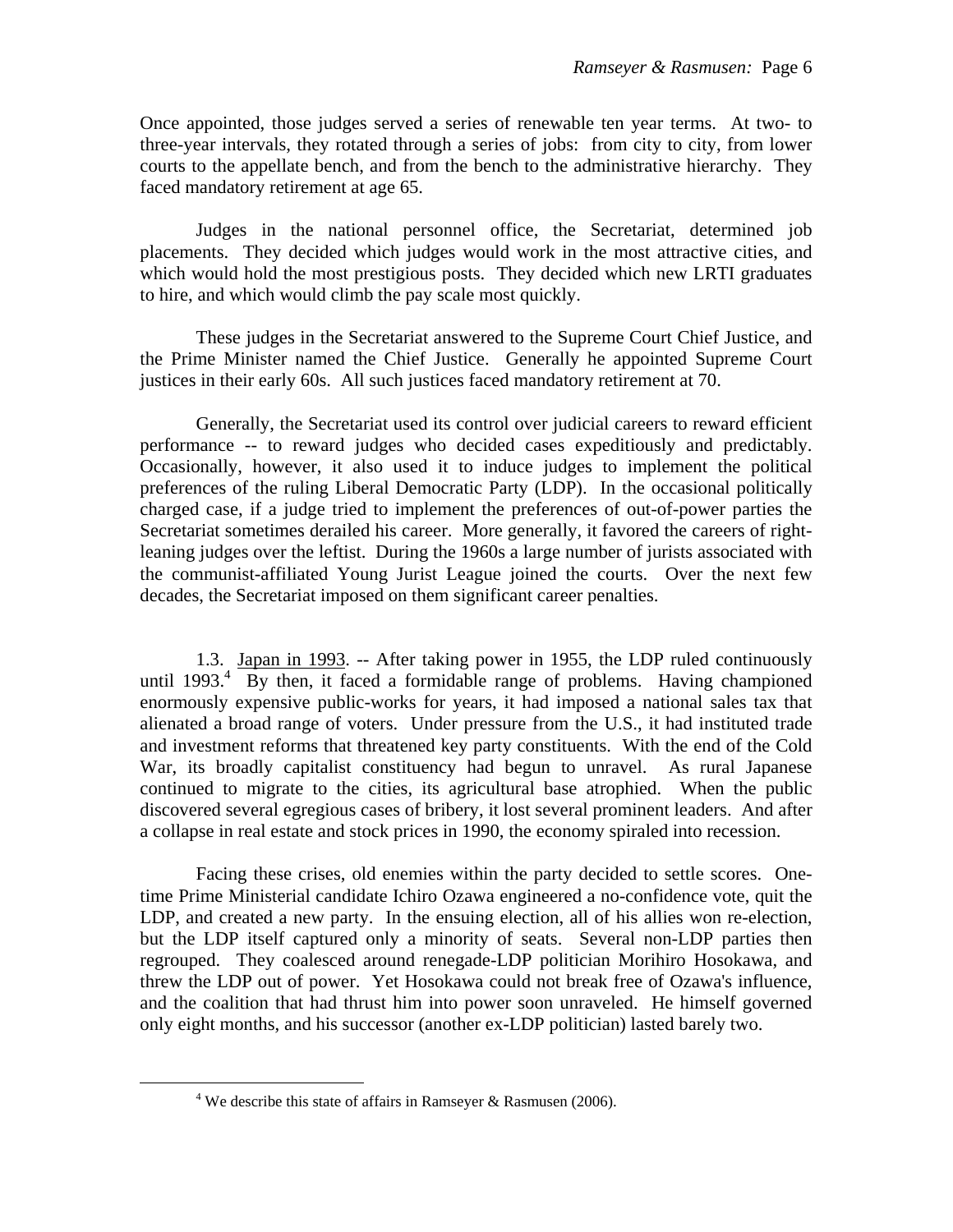Once appointed, those judges served a series of renewable ten year terms. At two- to three-year intervals, they rotated through a series of jobs: from city to city, from lower courts to the appellate bench, and from the bench to the administrative hierarchy. They faced mandatory retirement at age 65.

 Judges in the national personnel office, the Secretariat, determined job placements. They decided which judges would work in the most attractive cities, and which would hold the most prestigious posts. They decided which new LRTI graduates to hire, and which would climb the pay scale most quickly.

 These judges in the Secretariat answered to the Supreme Court Chief Justice, and the Prime Minister named the Chief Justice. Generally he appointed Supreme Court justices in their early 60s. All such justices faced mandatory retirement at 70.

 Generally, the Secretariat used its control over judicial careers to reward efficient performance -- to reward judges who decided cases expeditiously and predictably. Occasionally, however, it also used it to induce judges to implement the political preferences of the ruling Liberal Democratic Party (LDP). In the occasional politically charged case, if a judge tried to implement the preferences of out-of-power parties the Secretariat sometimes derailed his career. More generally, it favored the careers of rightleaning judges over the leftist. During the 1960s a large number of jurists associated with the communist-affiliated Young Jurist League joined the courts. Over the next few decades, the Secretariat imposed on them significant career penalties.

 1.3. Japan in 1993. -- After taking power in 1955, the LDP ruled continuously until 1993. $\frac{4}{1}$  By then, it faced a formidable range of problems. Having championed enormously expensive public-works for years, it had imposed a national sales tax that alienated a broad range of voters. Under pressure from the U.S., it had instituted trade and investment reforms that threatened key party constituents. With the end of the Cold War, its broadly capitalist constituency had begun to unravel. As rural Japanese continued to migrate to the cities, its agricultural base atrophied. When the public discovered several egregious cases of bribery, it lost several prominent leaders. And after a collapse in real estate and stock prices in 1990, the economy spiraled into recession.

Facing these crises, old enemies within the party decided to settle scores. Onetime Prime Ministerial candidate Ichiro Ozawa engineered a no-confidence vote, quit the LDP, and created a new party. In the ensuing election, all of his allies won re-election, but the LDP itself captured only a minority of seats. Several non-LDP parties then regrouped. They coalesced around renegade-LDP politician Morihiro Hosokawa, and threw the LDP out of power. Yet Hosokawa could not break free of Ozawa's influence, and the coalition that had thrust him into power soon unraveled. He himself governed only eight months, and his successor (another ex-LDP politician) lasted barely two.

 $\overline{\phantom{a}}$ <sup>4</sup> We describe this state of affairs in Ramseyer & Rasmusen (2006).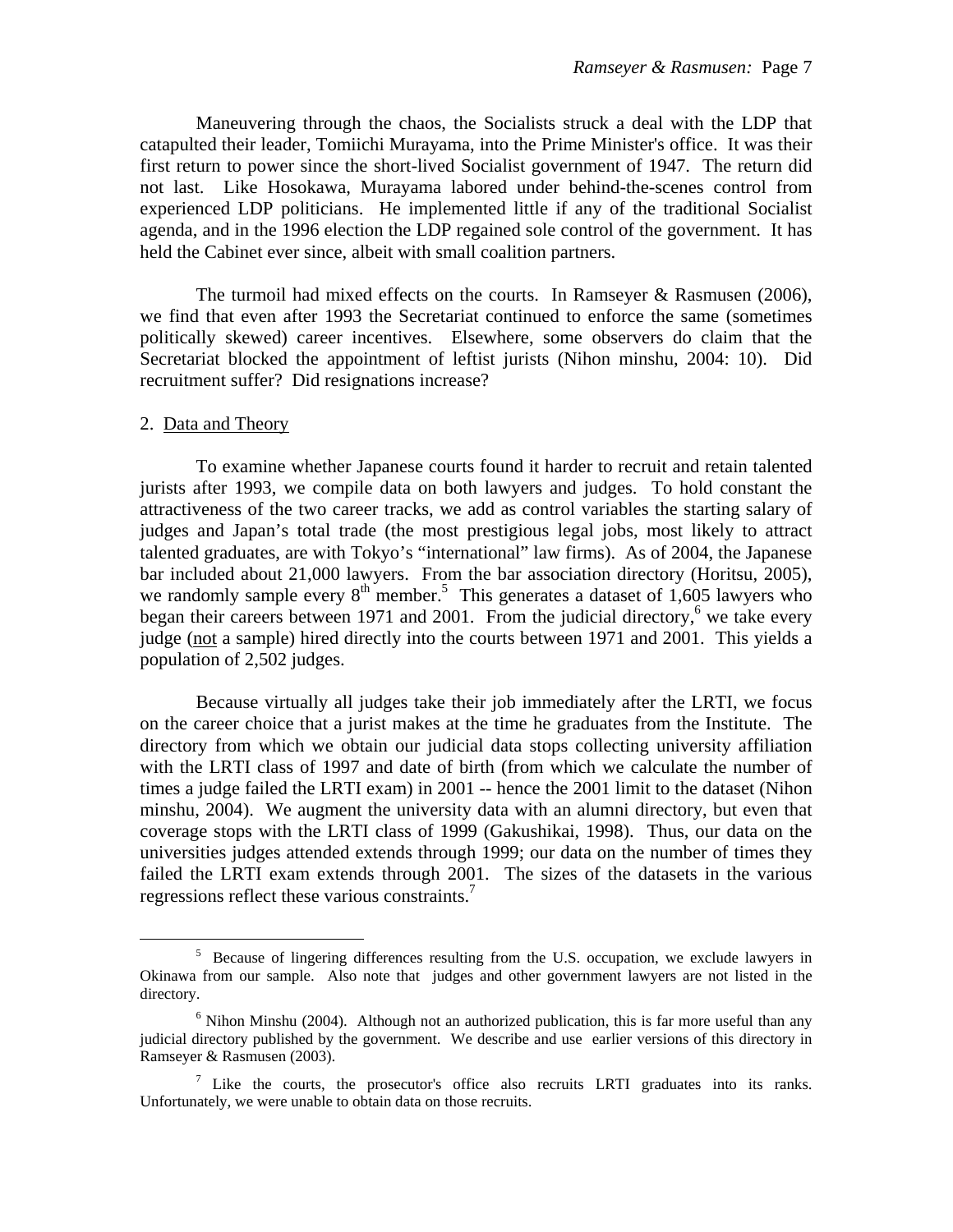Maneuvering through the chaos, the Socialists struck a deal with the LDP that catapulted their leader, Tomiichi Murayama, into the Prime Minister's office. It was their first return to power since the short-lived Socialist government of 1947. The return did not last. Like Hosokawa, Murayama labored under behind-the-scenes control from experienced LDP politicians. He implemented little if any of the traditional Socialist agenda, and in the 1996 election the LDP regained sole control of the government. It has held the Cabinet ever since, albeit with small coalition partners.

The turmoil had mixed effects on the courts. In Ramseyer & Rasmusen (2006), we find that even after 1993 the Secretariat continued to enforce the same (sometimes politically skewed) career incentives. Elsewhere, some observers do claim that the Secretariat blocked the appointment of leftist jurists (Nihon minshu, 2004: 10). Did recruitment suffer? Did resignations increase?

#### 2. Data and Theory

To examine whether Japanese courts found it harder to recruit and retain talented jurists after 1993, we compile data on both lawyers and judges. To hold constant the attractiveness of the two career tracks, we add as control variables the starting salary of judges and Japan's total trade (the most prestigious legal jobs, most likely to attract talented graduates, are with Tokyo's "international" law firms). As of 2004, the Japanese bar included about 21,000 lawyers. From the bar association directory (Horitsu, 2005), we randomly sample every  $8<sup>th</sup>$  member.<sup>5</sup> This generates a dataset of 1,605 lawyers who began their careers between 1971 and 2001. From the judicial directory,<sup>6</sup> we take every judge (not a sample) hired directly into the courts between 1971 and 2001. This yields a population of 2,502 judges.

 Because virtually all judges take their job immediately after the LRTI, we focus on the career choice that a jurist makes at the time he graduates from the Institute. The directory from which we obtain our judicial data stops collecting university affiliation with the LRTI class of 1997 and date of birth (from which we calculate the number of times a judge failed the LRTI exam) in 2001 -- hence the 2001 limit to the dataset (Nihon minshu, 2004). We augment the university data with an alumni directory, but even that coverage stops with the LRTI class of 1999 (Gakushikai, 1998). Thus, our data on the universities judges attended extends through 1999; our data on the number of times they failed the LRTI exam extends through 2001. The sizes of the datasets in the various regressions reflect these various constraints.<sup>7</sup>

<sup>5</sup> Because of lingering differences resulting from the U.S. occupation, we exclude lawyers in Okinawa from our sample. Also note that judges and other government lawyers are not listed in the directory.

 $<sup>6</sup>$  Nihon Minshu (2004). Although not an authorized publication, this is far more useful than any</sup> judicial directory published by the government. We describe and use earlier versions of this directory in Ramseyer & Rasmusen (2003).

<sup>&</sup>lt;sup>7</sup> Like the courts, the prosecutor's office also recruits LRTI graduates into its ranks. Unfortunately, we were unable to obtain data on those recruits.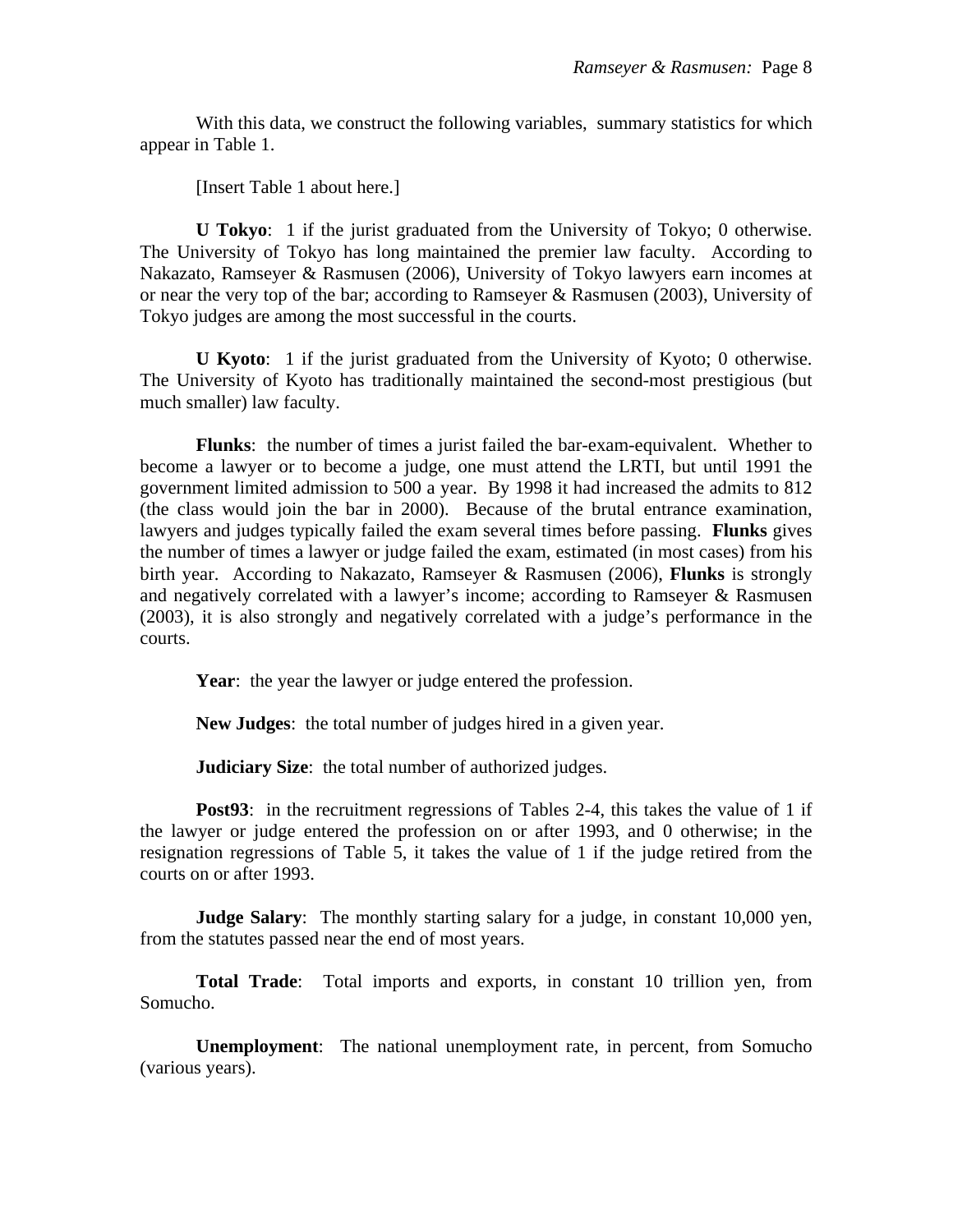With this data, we construct the following variables, summary statistics for which appear in Table 1.

[Insert Table 1 about here.]

**U Tokyo**: 1 if the jurist graduated from the University of Tokyo; 0 otherwise. The University of Tokyo has long maintained the premier law faculty. According to Nakazato, Ramseyer & Rasmusen (2006), University of Tokyo lawyers earn incomes at or near the very top of the bar; according to Ramseyer & Rasmusen (2003), University of Tokyo judges are among the most successful in the courts.

**U Kyoto**: 1 if the jurist graduated from the University of Kyoto; 0 otherwise. The University of Kyoto has traditionally maintained the second-most prestigious (but much smaller) law faculty.

**Flunks**: the number of times a jurist failed the bar-exam-equivalent. Whether to become a lawyer or to become a judge, one must attend the LRTI, but until 1991 the government limited admission to 500 a year. By 1998 it had increased the admits to 812 (the class would join the bar in 2000). Because of the brutal entrance examination, lawyers and judges typically failed the exam several times before passing. **Flunks** gives the number of times a lawyer or judge failed the exam, estimated (in most cases) from his birth year. According to Nakazato, Ramseyer & Rasmusen (2006), **Flunks** is strongly and negatively correlated with a lawyer's income; according to Ramseyer & Rasmusen (2003), it is also strongly and negatively correlated with a judge's performance in the courts.

Year: the year the lawyer or judge entered the profession.

**New Judges**: the total number of judges hired in a given year.

**Judiciary Size:** the total number of authorized judges.

**Post93:** in the recruitment regressions of Tables 2-4, this takes the value of 1 if the lawyer or judge entered the profession on or after 1993, and 0 otherwise; in the resignation regressions of Table 5, it takes the value of 1 if the judge retired from the courts on or after 1993.

**Judge Salary**: The monthly starting salary for a judge, in constant 10,000 yen, from the statutes passed near the end of most years.

**Total Trade**: Total imports and exports, in constant 10 trillion yen, from Somucho.

**Unemployment**: The national unemployment rate, in percent, from Somucho (various years).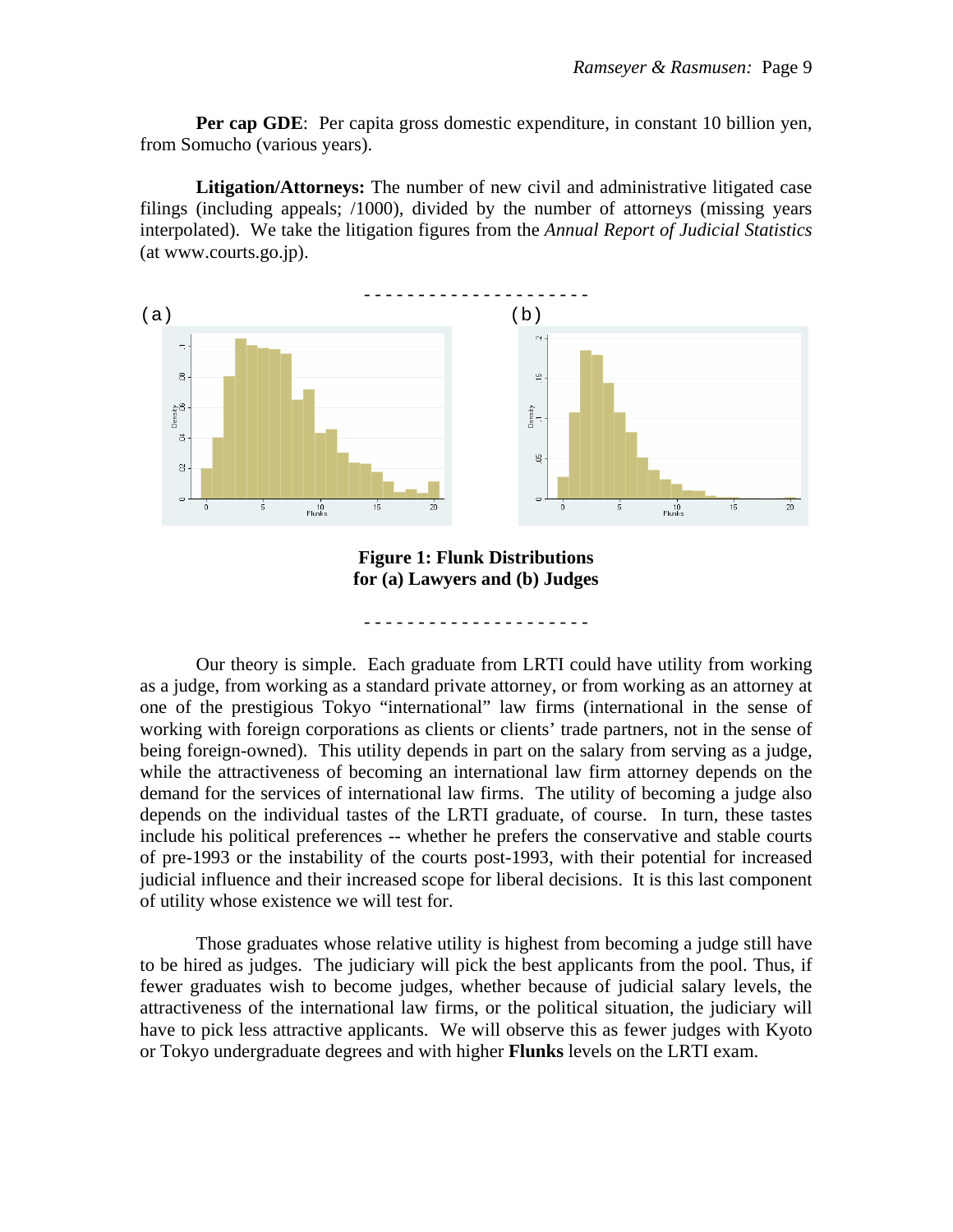**Per cap GDE:** Per capita gross domestic expenditure, in constant 10 billion yen, from Somucho (various years).

 **Litigation/Attorneys:** The number of new civil and administrative litigated case filings (including appeals; /1000), divided by the number of attorneys (missing years interpolated). We take the litigation figures from the *Annual Report of Judicial Statistics* (at www.courts.go.jp).



**Figure 1: Flunk Distributions for (a) Lawyers and (b) Judges** 

- - - - - - - - - - - - - - - - - - - - -

 Our theory is simple. Each graduate from LRTI could have utility from working as a judge, from working as a standard private attorney, or from working as an attorney at one of the prestigious Tokyo "international" law firms (international in the sense of working with foreign corporations as clients or clients' trade partners, not in the sense of being foreign-owned). This utility depends in part on the salary from serving as a judge, while the attractiveness of becoming an international law firm attorney depends on the demand for the services of international law firms. The utility of becoming a judge also depends on the individual tastes of the LRTI graduate, of course. In turn, these tastes include his political preferences -- whether he prefers the conservative and stable courts of pre-1993 or the instability of the courts post-1993, with their potential for increased judicial influence and their increased scope for liberal decisions. It is this last component of utility whose existence we will test for.

 Those graduates whose relative utility is highest from becoming a judge still have to be hired as judges. The judiciary will pick the best applicants from the pool. Thus, if fewer graduates wish to become judges, whether because of judicial salary levels, the attractiveness of the international law firms, or the political situation, the judiciary will have to pick less attractive applicants. We will observe this as fewer judges with Kyoto or Tokyo undergraduate degrees and with higher **Flunks** levels on the LRTI exam.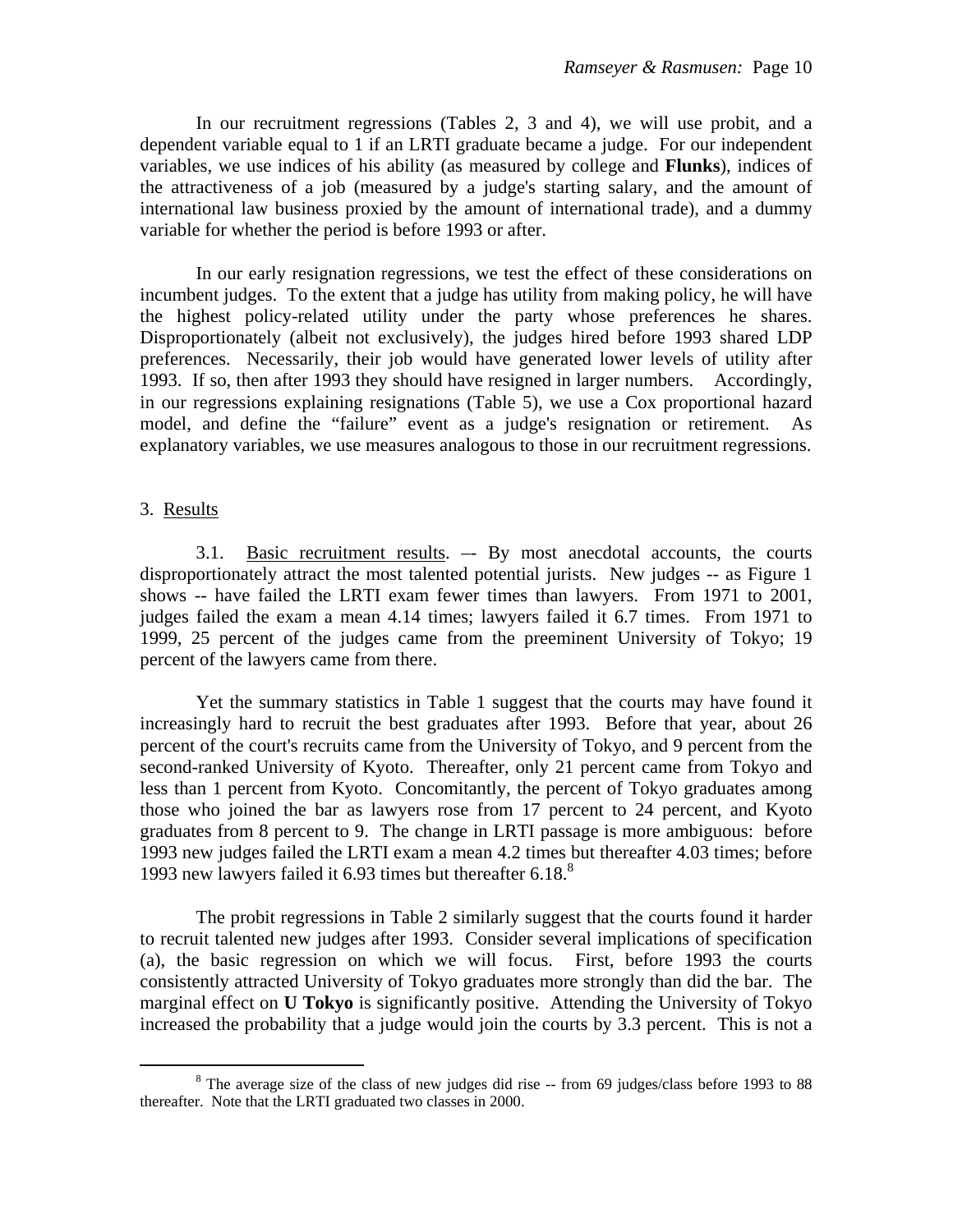In our recruitment regressions (Tables 2, 3 and 4), we will use probit, and a dependent variable equal to 1 if an LRTI graduate became a judge. For our independent variables, we use indices of his ability (as measured by college and **Flunks**), indices of the attractiveness of a job (measured by a judge's starting salary, and the amount of international law business proxied by the amount of international trade), and a dummy variable for whether the period is before 1993 or after.

 In our early resignation regressions, we test the effect of these considerations on incumbent judges. To the extent that a judge has utility from making policy, he will have the highest policy-related utility under the party whose preferences he shares. Disproportionately (albeit not exclusively), the judges hired before 1993 shared LDP preferences. Necessarily, their job would have generated lower levels of utility after 1993. If so, then after 1993 they should have resigned in larger numbers. Accordingly, in our regressions explaining resignations (Table 5), we use a Cox proportional hazard model, and define the "failure" event as a judge's resignation or retirement. As explanatory variables, we use measures analogous to those in our recruitment regressions.

#### 3. Results

 3.1. Basic recruitment results. –- By most anecdotal accounts, the courts disproportionately attract the most talented potential jurists. New judges -- as Figure 1 shows -- have failed the LRTI exam fewer times than lawyers. From 1971 to 2001, judges failed the exam a mean 4.14 times; lawyers failed it 6.7 times. From 1971 to 1999, 25 percent of the judges came from the preeminent University of Tokyo; 19 percent of the lawyers came from there.

 Yet the summary statistics in Table 1 suggest that the courts may have found it increasingly hard to recruit the best graduates after 1993. Before that year, about 26 percent of the court's recruits came from the University of Tokyo, and 9 percent from the second-ranked University of Kyoto. Thereafter, only 21 percent came from Tokyo and less than 1 percent from Kyoto. Concomitantly, the percent of Tokyo graduates among those who joined the bar as lawyers rose from 17 percent to 24 percent, and Kyoto graduates from 8 percent to 9. The change in LRTI passage is more ambiguous: before 1993 new judges failed the LRTI exam a mean 4.2 times but thereafter 4.03 times; before 1993 new lawyers failed it 6.93 times but thereafter  $6.18$ .<sup>8</sup>

 The probit regressions in Table 2 similarly suggest that the courts found it harder to recruit talented new judges after 1993. Consider several implications of specification (a), the basic regression on which we will focus. First, before 1993 the courts consistently attracted University of Tokyo graduates more strongly than did the bar. The marginal effect on **U Tokyo** is significantly positive. Attending the University of Tokyo increased the probability that a judge would join the courts by 3.3 percent. This is not a

 $\frac{1}{8}$ <sup>8</sup> The average size of the class of new judges did rise -- from 69 judges/class before 1993 to 88 thereafter. Note that the LRTI graduated two classes in 2000.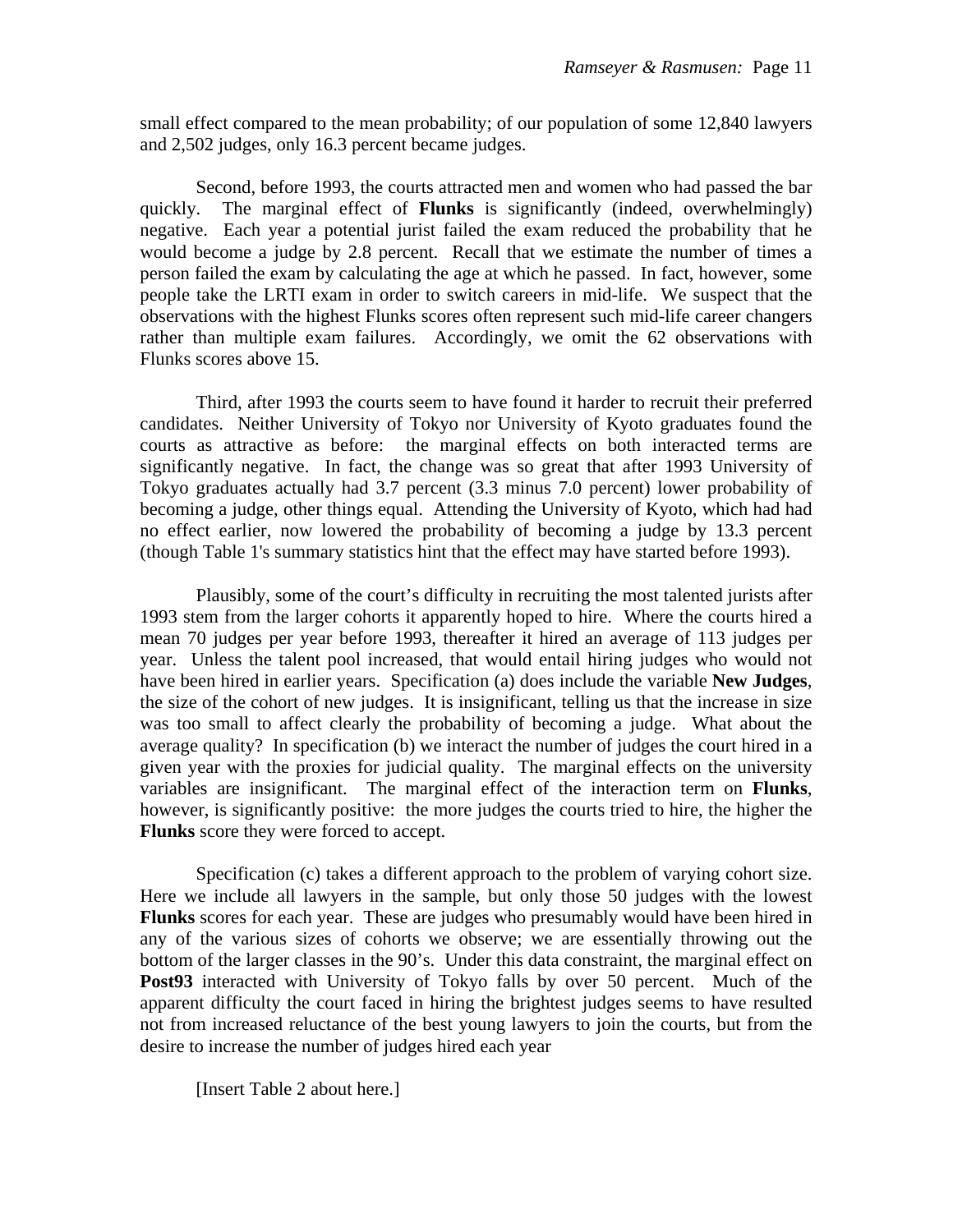small effect compared to the mean probability; of our population of some 12,840 lawyers and 2,502 judges, only 16.3 percent became judges.

 Second, before 1993, the courts attracted men and women who had passed the bar quickly. The marginal effect of **Flunks** is significantly (indeed, overwhelmingly) negative. Each year a potential jurist failed the exam reduced the probability that he would become a judge by 2.8 percent. Recall that we estimate the number of times a person failed the exam by calculating the age at which he passed. In fact, however, some people take the LRTI exam in order to switch careers in mid-life. We suspect that the observations with the highest Flunks scores often represent such mid-life career changers rather than multiple exam failures. Accordingly, we omit the 62 observations with Flunks scores above 15.

 Third, after 1993 the courts seem to have found it harder to recruit their preferred candidates. Neither University of Tokyo nor University of Kyoto graduates found the courts as attractive as before: the marginal effects on both interacted terms are significantly negative. In fact, the change was so great that after 1993 University of Tokyo graduates actually had 3.7 percent (3.3 minus 7.0 percent) lower probability of becoming a judge, other things equal. Attending the University of Kyoto, which had had no effect earlier, now lowered the probability of becoming a judge by 13.3 percent (though Table 1's summary statistics hint that the effect may have started before 1993).

 Plausibly, some of the court's difficulty in recruiting the most talented jurists after 1993 stem from the larger cohorts it apparently hoped to hire. Where the courts hired a mean 70 judges per year before 1993, thereafter it hired an average of 113 judges per year. Unless the talent pool increased, that would entail hiring judges who would not have been hired in earlier years. Specification (a) does include the variable **New Judges**, the size of the cohort of new judges. It is insignificant, telling us that the increase in size was too small to affect clearly the probability of becoming a judge. What about the average quality? In specification (b) we interact the number of judges the court hired in a given year with the proxies for judicial quality. The marginal effects on the university variables are insignificant. The marginal effect of the interaction term on **Flunks**, however, is significantly positive: the more judges the courts tried to hire, the higher the **Flunks** score they were forced to accept.

 Specification (c) takes a different approach to the problem of varying cohort size. Here we include all lawyers in the sample, but only those 50 judges with the lowest **Flunks** scores for each year. These are judges who presumably would have been hired in any of the various sizes of cohorts we observe; we are essentially throwing out the bottom of the larger classes in the 90's. Under this data constraint, the marginal effect on **Post93** interacted with University of Tokyo falls by over 50 percent. Much of the apparent difficulty the court faced in hiring the brightest judges seems to have resulted not from increased reluctance of the best young lawyers to join the courts, but from the desire to increase the number of judges hired each year

[Insert Table 2 about here.]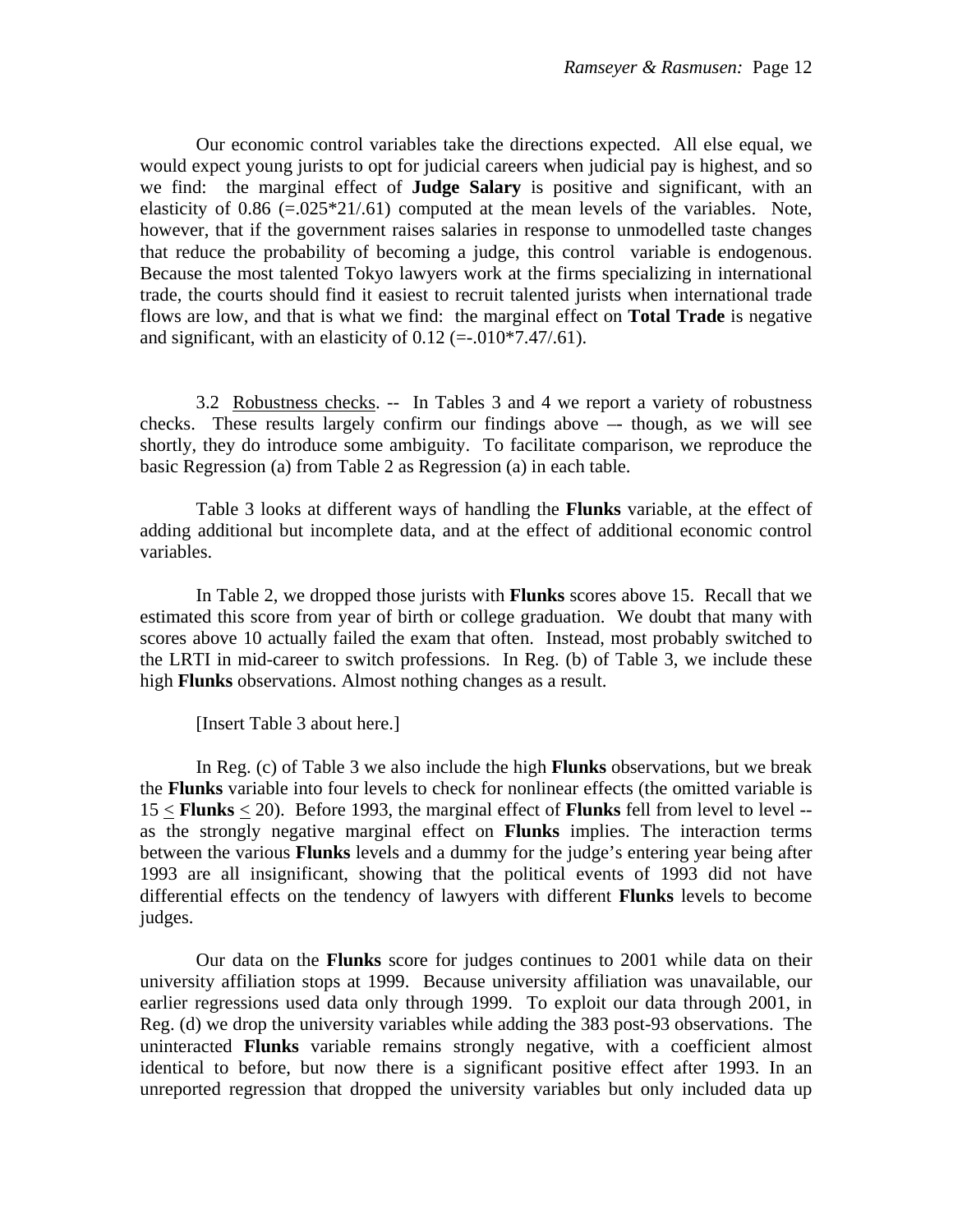Our economic control variables take the directions expected. All else equal, we would expect young jurists to opt for judicial careers when judicial pay is highest, and so we find: the marginal effect of **Judge Salary** is positive and significant, with an elasticity of  $0.86$  (=.025 $*21/0.61$ ) computed at the mean levels of the variables. Note, however, that if the government raises salaries in response to unmodelled taste changes that reduce the probability of becoming a judge, this control variable is endogenous. Because the most talented Tokyo lawyers work at the firms specializing in international trade, the courts should find it easiest to recruit talented jurists when international trade flows are low, and that is what we find: the marginal effect on **Total Trade** is negative and significant, with an elasticity of  $0.12$  (=-.010\*7.47/.61).

 3.2 Robustness checks. -- In Tables 3 and 4 we report a variety of robustness checks. These results largely confirm our findings above –- though, as we will see shortly, they do introduce some ambiguity. To facilitate comparison, we reproduce the basic Regression (a) from Table 2 as Regression (a) in each table.

 Table 3 looks at different ways of handling the **Flunks** variable, at the effect of adding additional but incomplete data, and at the effect of additional economic control variables.

 In Table 2, we dropped those jurists with **Flunks** scores above 15. Recall that we estimated this score from year of birth or college graduation. We doubt that many with scores above 10 actually failed the exam that often. Instead, most probably switched to the LRTI in mid-career to switch professions. In Reg. (b) of Table 3, we include these high **Flunks** observations. Almost nothing changes as a result.

[Insert Table 3 about here.]

 In Reg. (c) of Table 3 we also include the high **Flunks** observations, but we break the **Flunks** variable into four levels to check for nonlinear effects (the omitted variable is 15 < **Flunks** < 20). Before 1993, the marginal effect of **Flunks** fell from level to level - as the strongly negative marginal effect on **Flunks** implies. The interaction terms between the various **Flunks** levels and a dummy for the judge's entering year being after 1993 are all insignificant, showing that the political events of 1993 did not have differential effects on the tendency of lawyers with different **Flunks** levels to become judges.

 Our data on the **Flunks** score for judges continues to 2001 while data on their university affiliation stops at 1999. Because university affiliation was unavailable, our earlier regressions used data only through 1999. To exploit our data through 2001, in Reg. (d) we drop the university variables while adding the 383 post-93 observations. The uninteracted **Flunks** variable remains strongly negative, with a coefficient almost identical to before, but now there is a significant positive effect after 1993. In an unreported regression that dropped the university variables but only included data up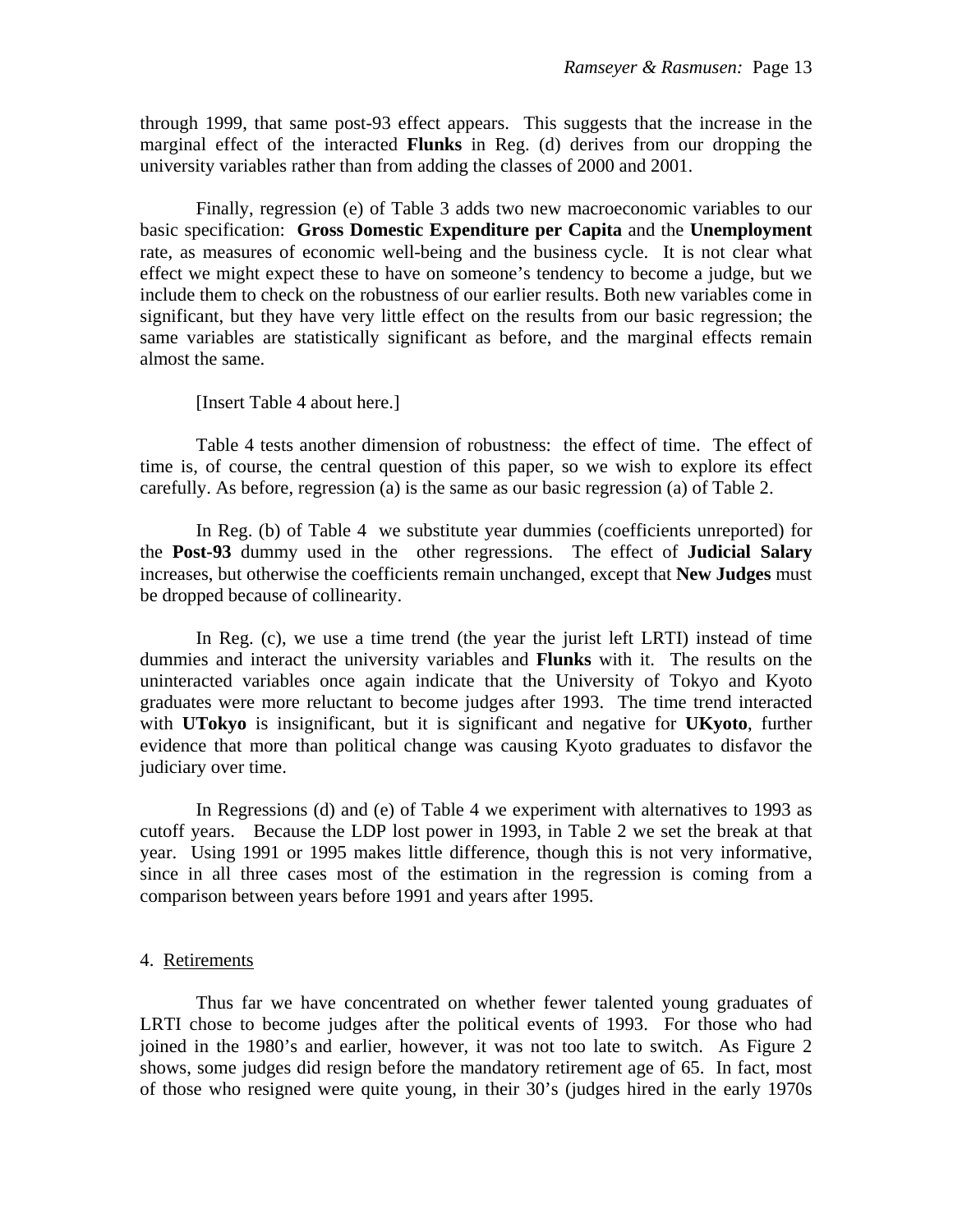through 1999, that same post-93 effect appears. This suggests that the increase in the marginal effect of the interacted **Flunks** in Reg. (d) derives from our dropping the university variables rather than from adding the classes of 2000 and 2001.

 Finally, regression (e) of Table 3 adds two new macroeconomic variables to our basic specification: **Gross Domestic Expenditure per Capita** and the **Unemployment** rate, as measures of economic well-being and the business cycle. It is not clear what effect we might expect these to have on someone's tendency to become a judge, but we include them to check on the robustness of our earlier results. Both new variables come in significant, but they have very little effect on the results from our basic regression; the same variables are statistically significant as before, and the marginal effects remain almost the same.

[Insert Table 4 about here.]

 Table 4 tests another dimension of robustness: the effect of time. The effect of time is, of course, the central question of this paper, so we wish to explore its effect carefully. As before, regression (a) is the same as our basic regression (a) of Table 2.

 In Reg. (b) of Table 4 we substitute year dummies (coefficients unreported) for the **Post-93** dummy used in the other regressions. The effect of **Judicial Salary** increases, but otherwise the coefficients remain unchanged, except that **New Judges** must be dropped because of collinearity.

 In Reg. (c), we use a time trend (the year the jurist left LRTI) instead of time dummies and interact the university variables and **Flunks** with it. The results on the uninteracted variables once again indicate that the University of Tokyo and Kyoto graduates were more reluctant to become judges after 1993. The time trend interacted with **UTokyo** is insignificant, but it is significant and negative for **UKyoto**, further evidence that more than political change was causing Kyoto graduates to disfavor the judiciary over time.

 In Regressions (d) and (e) of Table 4 we experiment with alternatives to 1993 as cutoff years. Because the LDP lost power in 1993, in Table 2 we set the break at that year. Using 1991 or 1995 makes little difference, though this is not very informative, since in all three cases most of the estimation in the regression is coming from a comparison between years before 1991 and years after 1995.

#### 4. Retirements

 Thus far we have concentrated on whether fewer talented young graduates of LRTI chose to become judges after the political events of 1993. For those who had joined in the 1980's and earlier, however, it was not too late to switch. As Figure 2 shows, some judges did resign before the mandatory retirement age of 65. In fact, most of those who resigned were quite young, in their 30's (judges hired in the early 1970s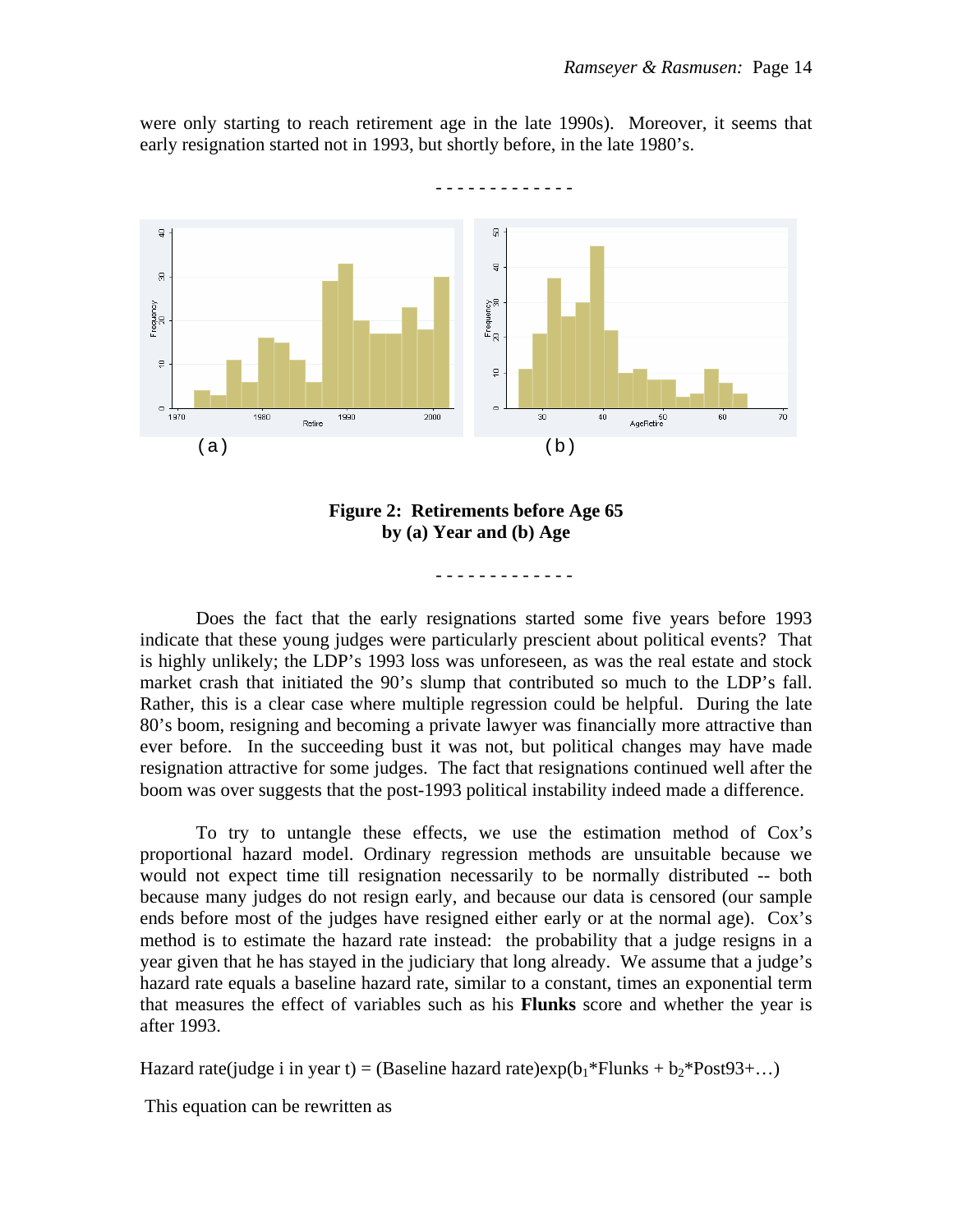were only starting to reach retirement age in the late 1990s). Moreover, it seems that early resignation started not in 1993, but shortly before, in the late 1980's.





- - - - - - - - - - - - -

Does the fact that the early resignations started some five years before 1993 indicate that these young judges were particularly prescient about political events? That is highly unlikely; the LDP's 1993 loss was unforeseen, as was the real estate and stock market crash that initiated the 90's slump that contributed so much to the LDP's fall. Rather, this is a clear case where multiple regression could be helpful. During the late 80's boom, resigning and becoming a private lawyer was financially more attractive than ever before. In the succeeding bust it was not, but political changes may have made resignation attractive for some judges. The fact that resignations continued well after the boom was over suggests that the post-1993 political instability indeed made a difference.

To try to untangle these effects, we use the estimation method of Cox's proportional hazard model. Ordinary regression methods are unsuitable because we would not expect time till resignation necessarily to be normally distributed -- both because many judges do not resign early, and because our data is censored (our sample ends before most of the judges have resigned either early or at the normal age). Cox's method is to estimate the hazard rate instead: the probability that a judge resigns in a year given that he has stayed in the judiciary that long already. We assume that a judge's hazard rate equals a baseline hazard rate, similar to a constant, times an exponential term that measures the effect of variables such as his **Flunks** score and whether the year is after 1993.

Hazard rate(judge i in year t) = (Baseline hazard rate)exp( $b_1$ \*Flunks +  $b_2$ \*Post93+...)

This equation can be rewritten as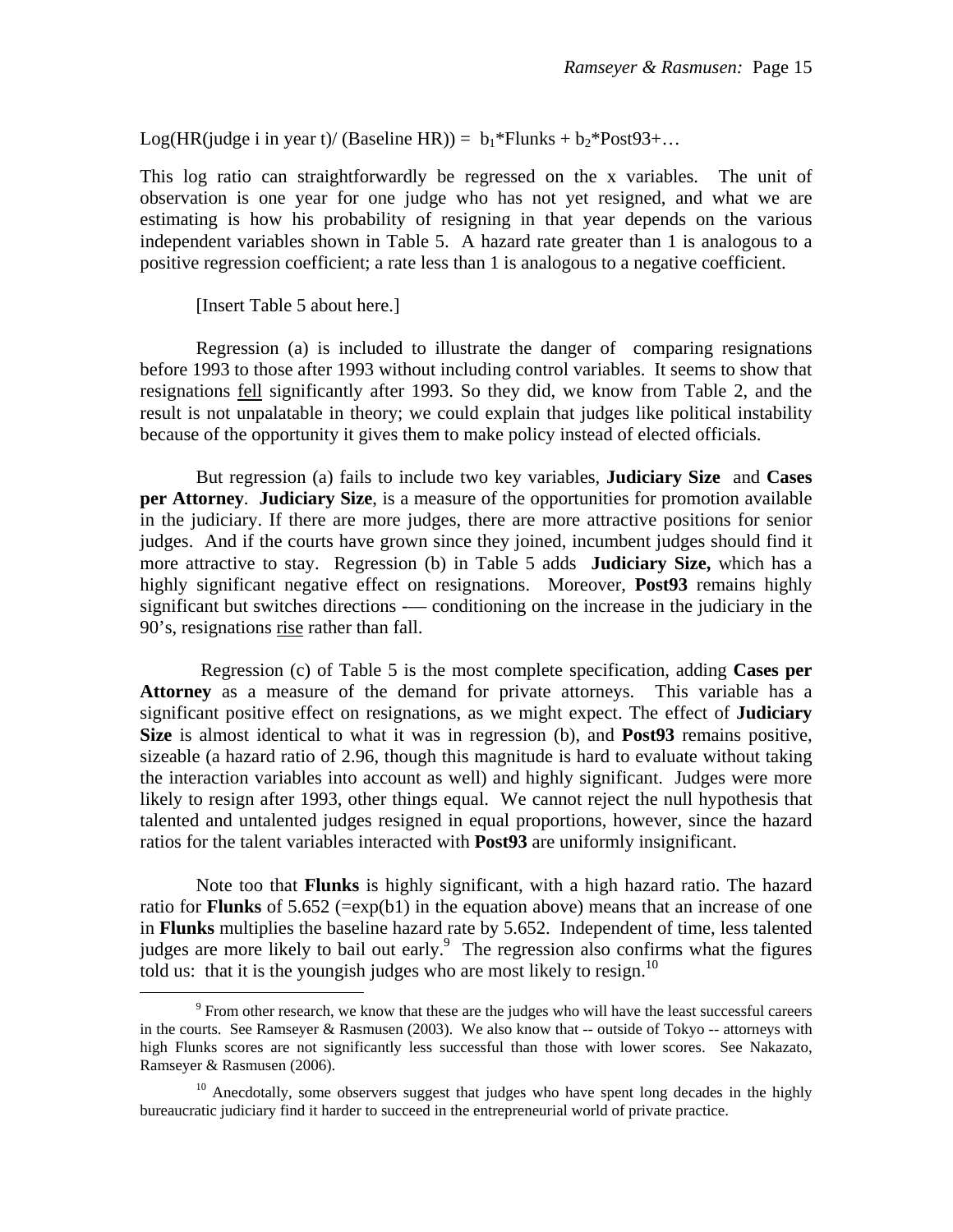Log(HR(judge i in year t)/ (Baseline HR)) =  $b_1$ \*Flunks +  $b_2$ \*Post93+...

This log ratio can straightforwardly be regressed on the x variables. The unit of observation is one year for one judge who has not yet resigned, and what we are estimating is how his probability of resigning in that year depends on the various independent variables shown in Table 5. A hazard rate greater than 1 is analogous to a positive regression coefficient; a rate less than 1 is analogous to a negative coefficient.

[Insert Table 5 about here.]

Regression (a) is included to illustrate the danger of comparing resignations before 1993 to those after 1993 without including control variables. It seems to show that resignations fell significantly after 1993. So they did, we know from Table 2, and the result is not unpalatable in theory; we could explain that judges like political instability because of the opportunity it gives them to make policy instead of elected officials.

But regression (a) fails to include two key variables, **Judiciary Size** and **Cases per Attorney**. **Judiciary Size**, is a measure of the opportunities for promotion available in the judiciary. If there are more judges, there are more attractive positions for senior judges. And if the courts have grown since they joined, incumbent judges should find it more attractive to stay. Regression (b) in Table 5 adds **Judiciary Size,** which has a highly significant negative effect on resignations. Moreover, **Post93** remains highly significant but switches directions -— conditioning on the increase in the judiciary in the 90's, resignations rise rather than fall.

 Regression (c) of Table 5 is the most complete specification, adding **Cases per Attorney** as a measure of the demand for private attorneys. This variable has a significant positive effect on resignations, as we might expect. The effect of **Judiciary Size** is almost identical to what it was in regression (b), and **Post93** remains positive, sizeable (a hazard ratio of 2.96, though this magnitude is hard to evaluate without taking the interaction variables into account as well) and highly significant. Judges were more likely to resign after 1993, other things equal. We cannot reject the null hypothesis that talented and untalented judges resigned in equal proportions, however, since the hazard ratios for the talent variables interacted with **Post93** are uniformly insignificant.

Note too that **Flunks** is highly significant, with a high hazard ratio. The hazard ratio for **Flunks** of 5.652 ( $=\exp(b1)$  in the equation above) means that an increase of one in **Flunks** multiplies the baseline hazard rate by 5.652. Independent of time, less talented judges are more likely to bail out early.<sup>9</sup> The regression also confirms what the figures told us: that it is the youngish judges who are most likely to resign.<sup>10</sup>

 $\frac{1}{9}$ <sup>9</sup> From other research, we know that these are the judges who will have the least successful careers in the courts. See Ramseyer & Rasmusen (2003). We also know that -- outside of Tokyo -- attorneys with high Flunks scores are not significantly less successful than those with lower scores. See Nakazato, Ramseyer & Rasmusen (2006).

 $10$  Anecdotally, some observers suggest that judges who have spent long decades in the highly bureaucratic judiciary find it harder to succeed in the entrepreneurial world of private practice.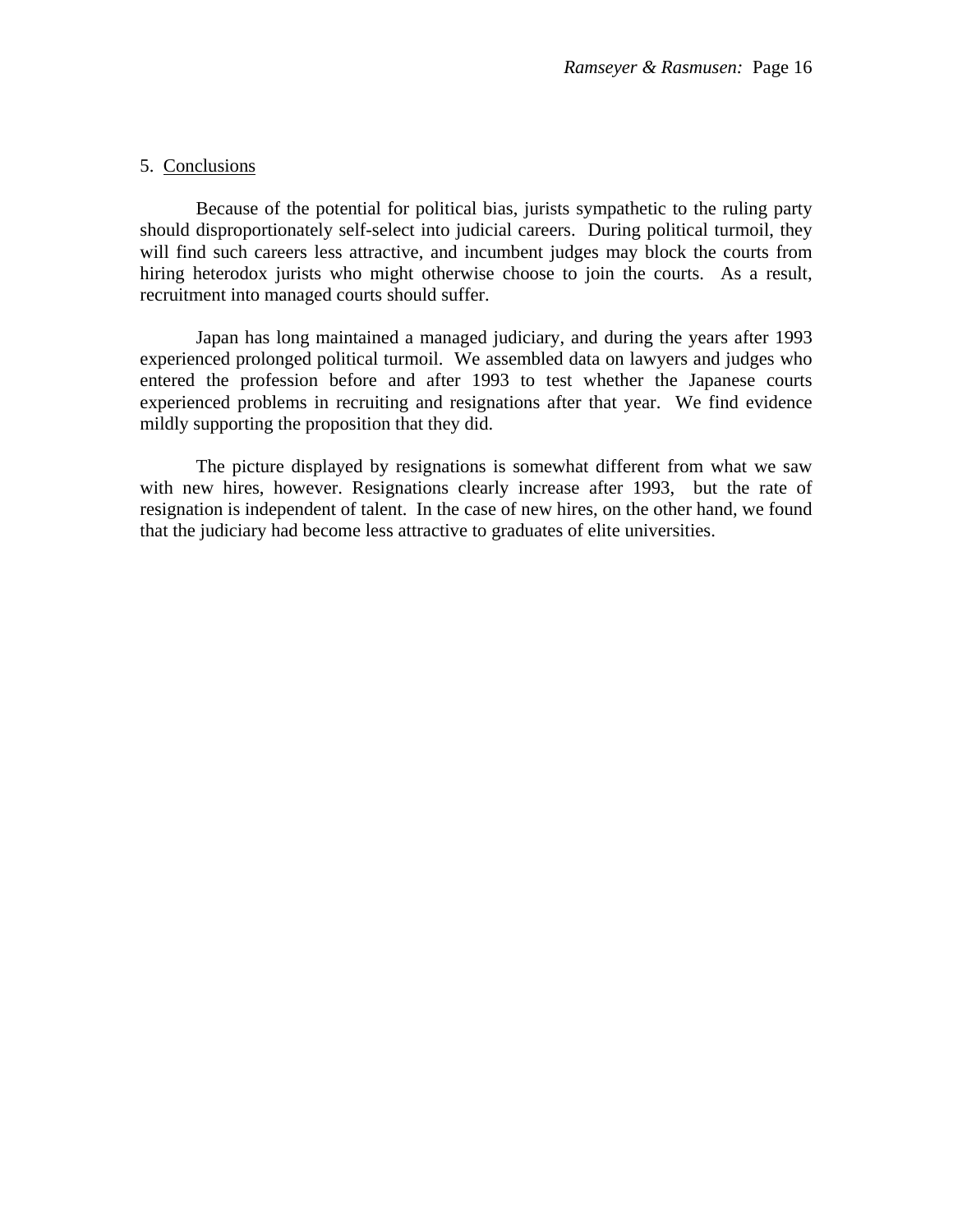### 5. Conclusions

 Because of the potential for political bias, jurists sympathetic to the ruling party should disproportionately self-select into judicial careers. During political turmoil, they will find such careers less attractive, and incumbent judges may block the courts from hiring heterodox jurists who might otherwise choose to join the courts. As a result, recruitment into managed courts should suffer.

 Japan has long maintained a managed judiciary, and during the years after 1993 experienced prolonged political turmoil. We assembled data on lawyers and judges who entered the profession before and after 1993 to test whether the Japanese courts experienced problems in recruiting and resignations after that year. We find evidence mildly supporting the proposition that they did.

 The picture displayed by resignations is somewhat different from what we saw with new hires, however. Resignations clearly increase after 1993, but the rate of resignation is independent of talent. In the case of new hires, on the other hand, we found that the judiciary had become less attractive to graduates of elite universities.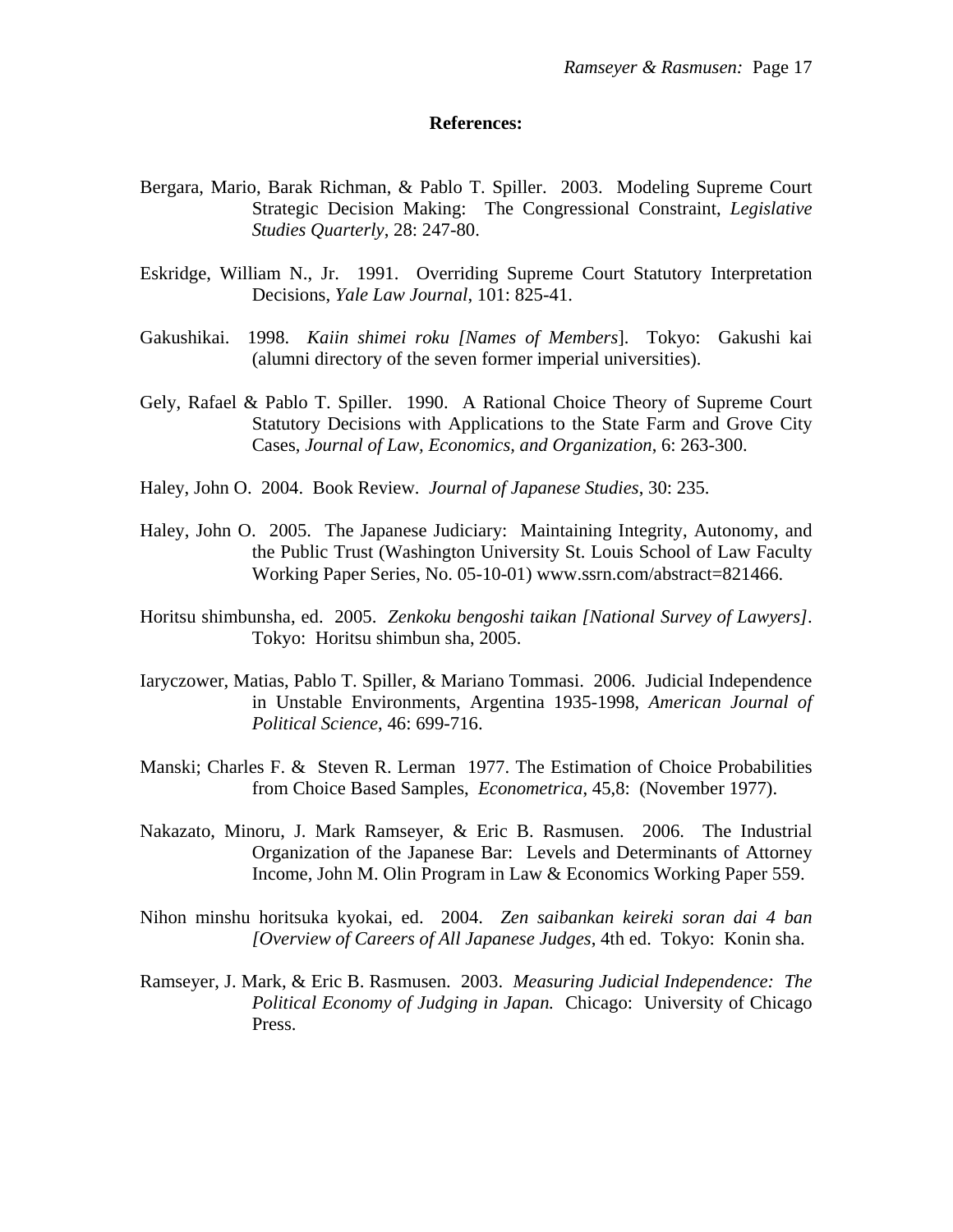#### **References:**

- Bergara, Mario, Barak Richman, & Pablo T. Spiller. 2003. Modeling Supreme Court Strategic Decision Making: The Congressional Constraint, *Legislative Studies Quarterly*, 28: 247-80.
- Eskridge, William N., Jr. 1991. Overriding Supreme Court Statutory Interpretation Decisions, *Yale Law Journal*, 101: 825-41.
- Gakushikai. 1998. *Kaiin shimei roku [Names of Members*]. Tokyo: Gakushi kai (alumni directory of the seven former imperial universities).
- Gely, Rafael & Pablo T. Spiller. 1990. A Rational Choice Theory of Supreme Court Statutory Decisions with Applications to the State Farm and Grove City Cases, *Journal of Law, Economics, and Organization*, 6: 263-300.
- Haley, John O. 2004. Book Review. *Journal of Japanese Studies*, 30: 235.
- Haley, John O. 2005. The Japanese Judiciary: Maintaining Integrity, Autonomy, and the Public Trust (Washington University St. Louis School of Law Faculty Working Paper Series, No. 05-10-01) www.ssrn.com/abstract=821466.
- Horitsu shimbunsha, ed. 2005. *Zenkoku bengoshi taikan [National Survey of Lawyers]*. Tokyo: Horitsu shimbun sha, 2005.
- Iaryczower, Matias, Pablo T. Spiller, & Mariano Tommasi. 2006. Judicial Independence in Unstable Environments, Argentina 1935-1998, *American Journal of Political Science*, 46: 699-716.
- Manski; Charles F. & Steven R. Lerman 1977. The Estimation of Choice Probabilities from Choice Based Samples, *Econometrica*, 45,8: (November 1977).
- Nakazato, Minoru, J. Mark Ramseyer, & Eric B. Rasmusen. 2006. The Industrial Organization of the Japanese Bar: Levels and Determinants of Attorney Income, John M. Olin Program in Law & Economics Working Paper 559.
- Nihon minshu horitsuka kyokai, ed. 2004. *Zen saibankan keireki soran dai 4 ban [Overview of Careers of All Japanese Judges*, 4th ed. Tokyo: Konin sha.
- Ramseyer, J. Mark, & Eric B. Rasmusen. 2003. *Measuring Judicial Independence: The Political Economy of Judging in Japan.* Chicago: University of Chicago Press.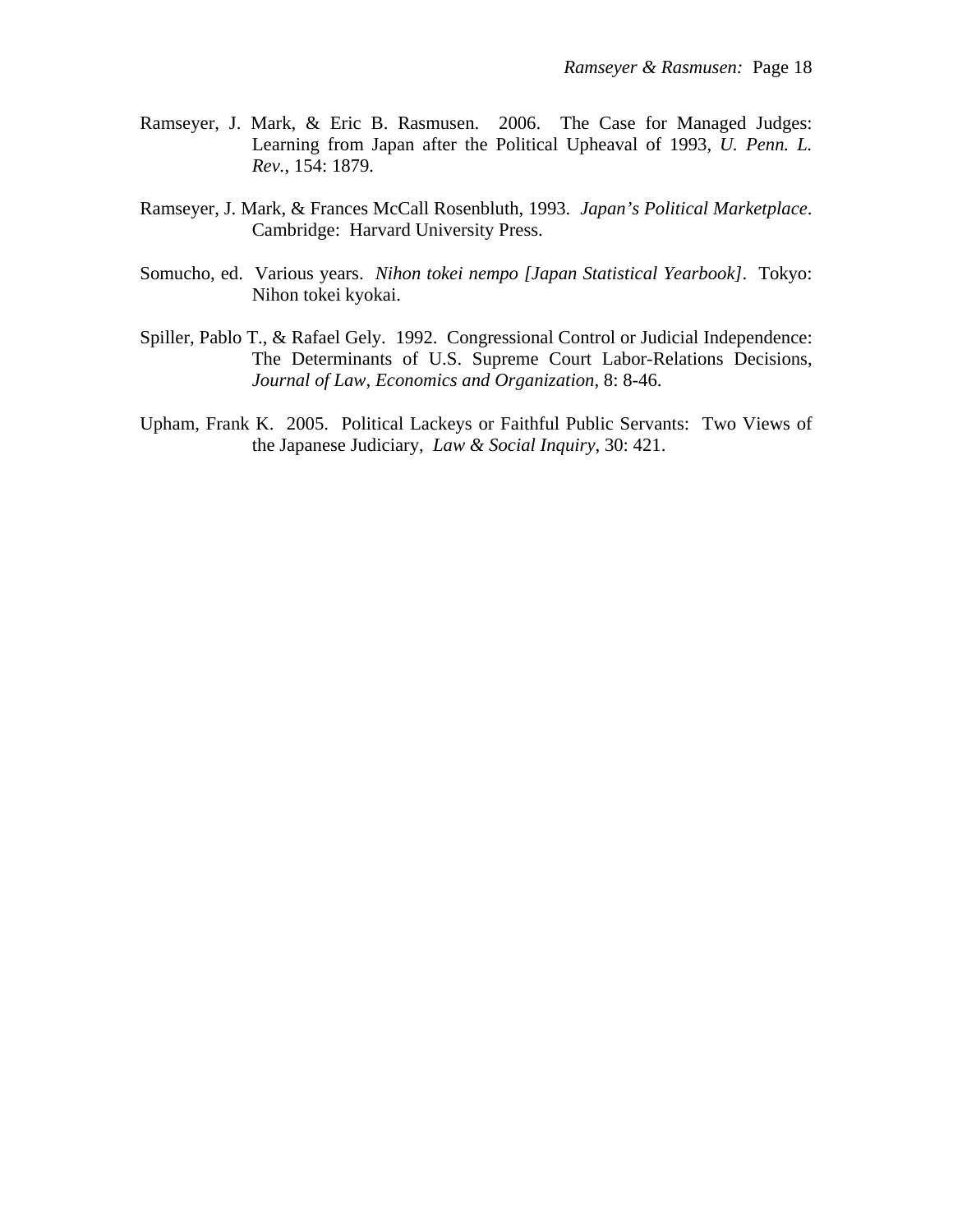- Ramseyer, J. Mark, & Eric B. Rasmusen. 2006. The Case for Managed Judges: Learning from Japan after the Political Upheaval of 1993, *U. Penn. L. Rev.*, 154: 1879.
- Ramseyer, J. Mark, & Frances McCall Rosenbluth, 1993. *Japan's Political Marketplace*. Cambridge: Harvard University Press.
- Somucho, ed. Various years. *Nihon tokei nempo [Japan Statistical Yearbook]*. Tokyo: Nihon tokei kyokai.
- Spiller, Pablo T., & Rafael Gely. 1992. Congressional Control or Judicial Independence: The Determinants of U.S. Supreme Court Labor-Relations Decisions, *Journal of Law, Economics and Organization*, 8: 8-46.
- Upham, Frank K. 2005. Political Lackeys or Faithful Public Servants: Two Views of the Japanese Judiciary, *Law & Social Inquiry*, 30: 421.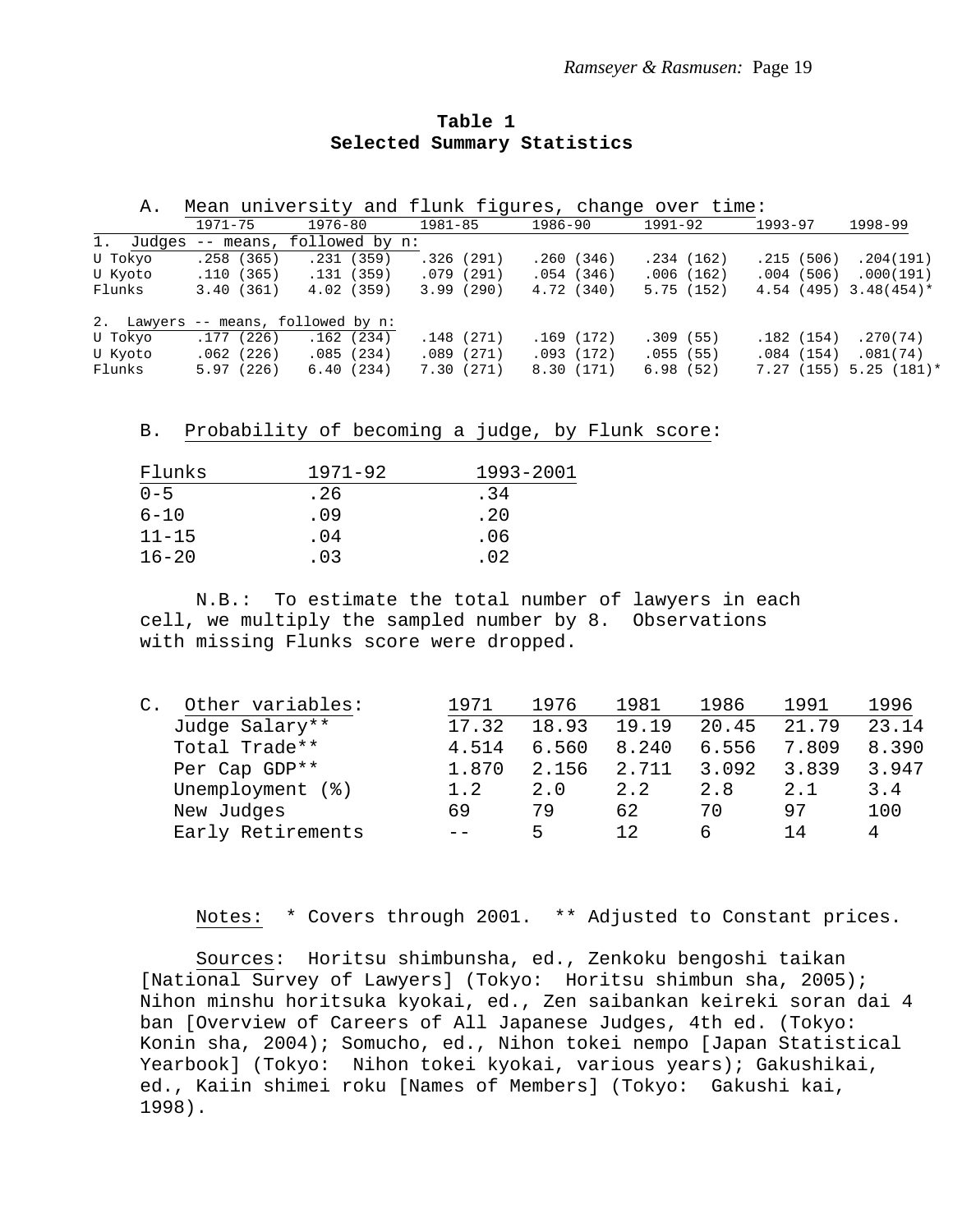| Table 1 |                             |
|---------|-----------------------------|
|         | Selected Summary Statistics |

A. Mean university and flunk figures, change over time:

|           | $1971 - 75$ | 1976-80                             | $1981 - 85$ | 1986-90    | 1991-92   | $1993 - 97$ | 1998-99                   |
|-----------|-------------|-------------------------------------|-------------|------------|-----------|-------------|---------------------------|
| 1. Judges | -- means,   | followed by n:                      |             |            |           |             |                           |
| U Tokyo   | .258(365)   | .231(359)                           | .326(291)   | .260(346)  | .234(162) | .215(506)   | .204(191)                 |
| U Kyoto   | .110(365)   | .131(359)                           | .079(291)   | .054(346)  | .006(162) | .004(506)   | .000(191)                 |
| Flunks    | 3.40(361)   | 4.02(359)                           | 3.99(290)   | 4.72 (340) | 5.75(152) |             | $4.54$ (495) 3.48(454)*   |
|           |             | 2. Lawyers -- means, followed by n: |             |            |           |             |                           |
| U Tokyo   | .177(226)   | .162(234)                           | .148(271)   | .169(172)  | .309(55)  | .182(154)   | .270(74)                  |
| U Kyoto   | .062(226)   | .085(234)                           | .089(271)   | .093(172)  | .055(55)  | .084(154)   | .081(74)                  |
| Flunks    | 5.97(226)   | 6.40(234)                           | 7.30(271)   | 8.30 (171) | 6.98(52)  |             | $7.27(155)$ 5.25 $(181)*$ |

B. Probability of becoming a judge, by Flunk score:

| Flunks    | $1971 - 92$ | 1993-2001 |
|-----------|-------------|-----------|
| $0 - 5$   | . 26        | .34       |
| $6 - 10$  | . 09        | .20       |
| $11 - 15$ | .04         | .06       |
| $16 - 20$ | .03         | .02       |
|           |             |           |

 N.B.: To estimate the total number of lawyers in each cell, we multiply the sampled number by 8. Observations with missing Flunks score were dropped.

| С. | Other variables:   | 1971  | 1976  | 1981  | 1986  | 1991  | 1996  |
|----|--------------------|-------|-------|-------|-------|-------|-------|
|    | Judge Salary**     | 17.32 | 18.93 | 19.19 | 20.45 | 21.79 | 23.14 |
|    | Total Trade**      | 4.514 | 6.560 | 8.240 | 6.556 | 7.809 | 8.390 |
|    | Per Cap GDP**      | 1.870 | 2.156 | 2.711 | 3.092 | 3.839 | 3.947 |
|    | Unemployment $(*)$ | 1.2   | 2.0   | 2.2   | 2.8   | 2.1   | 3.4   |
|    | New Judges         | 69    | 79    | 62    | 70    | 97    | 100   |
|    | Early Retirements  |       | г,    | 12    | 6     | 14    | 4     |

Notes: \* Covers through 2001. \*\* Adjusted to Constant prices.

 Sources: Horitsu shimbunsha, ed., Zenkoku bengoshi taikan [National Survey of Lawyers] (Tokyo: Horitsu shimbun sha, 2005); Nihon minshu horitsuka kyokai, ed., Zen saibankan keireki soran dai 4 ban [Overview of Careers of All Japanese Judges, 4th ed. (Tokyo: Konin sha, 2004); Somucho, ed., Nihon tokei nempo [Japan Statistical Yearbook] (Tokyo: Nihon tokei kyokai, various years); Gakushikai, ed., Kaiin shimei roku [Names of Members] (Tokyo: Gakushi kai, 1998).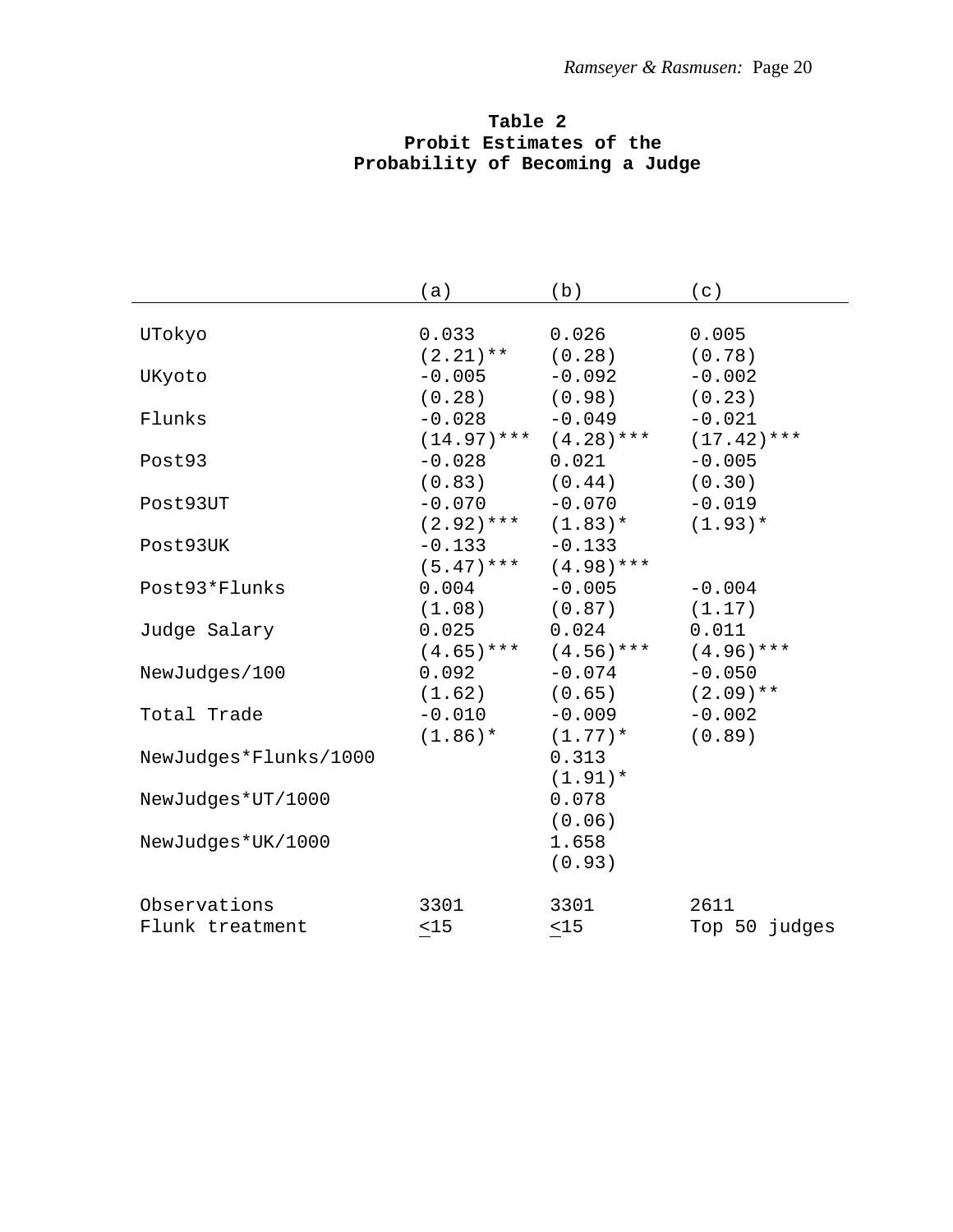# **Table 2 Probit Estimates of the Probability of Becoming a Judge**

| UTokyo<br>0.033<br>0.026<br>0.005                 |  |
|---------------------------------------------------|--|
|                                                   |  |
|                                                   |  |
| $(2.21)$ ** $(0.28)$<br>(0.78)                    |  |
| $-0.092$<br>$-0.005$<br>$-0.002$<br>UKyoto        |  |
| $(0.28)$ $(0.98)$<br>(0.23)                       |  |
| $-0.028 -0.049$<br>$-0.021$<br>Flunks             |  |
| $(14.97)$ *** $(4.28)$ ***<br>$(17.42)$ ***       |  |
| $-0.028$ 0.021<br>$-0.005$<br>Post93              |  |
| $(0.83)$ $(0.44)$<br>(0.30)                       |  |
| $-0.070 -0.070$<br>$-0.019$<br>Post93UT           |  |
| $(2.92)$ *** $(1.83)$ *<br>$(1.93)*$              |  |
| $-0.133$<br>$-0.133$<br>Post93UK                  |  |
| $(5.47)$ *** $(4.98)$ ***                         |  |
| $0.004 -0.005$<br>$-0.004$<br>Post93*Flunks       |  |
| $(1.08)$ $(0.87)$<br>(1.17)                       |  |
| 0.025<br>0.024<br>0.011<br>Judge Salary           |  |
| $(4.65)$ *** $(4.56)$ ***<br>$(4.96)$ ***         |  |
| $0.092 -0.074$<br>$-0.050$<br>NewJudges/100       |  |
| $(1.62)$ $(0.65)$<br>$(2.09)$ **                  |  |
| $-0.010 -0.009$<br>Total Trade<br>$-0.002$        |  |
| $(1.86)$ *<br>(0.89)<br>$(1.77)$ *                |  |
| NewJudges*Flunks/1000<br>0.313                    |  |
| $(1.91)$ *                                        |  |
| 0.078<br>NewJudges*UT/1000                        |  |
| (0.06)                                            |  |
| 1.658<br>NewJudges*UK/1000                        |  |
| (0.93)                                            |  |
| 2611<br>Observations<br>3301<br>3301              |  |
| $15$<br>$<15$<br>Top 50 judges<br>Flunk treatment |  |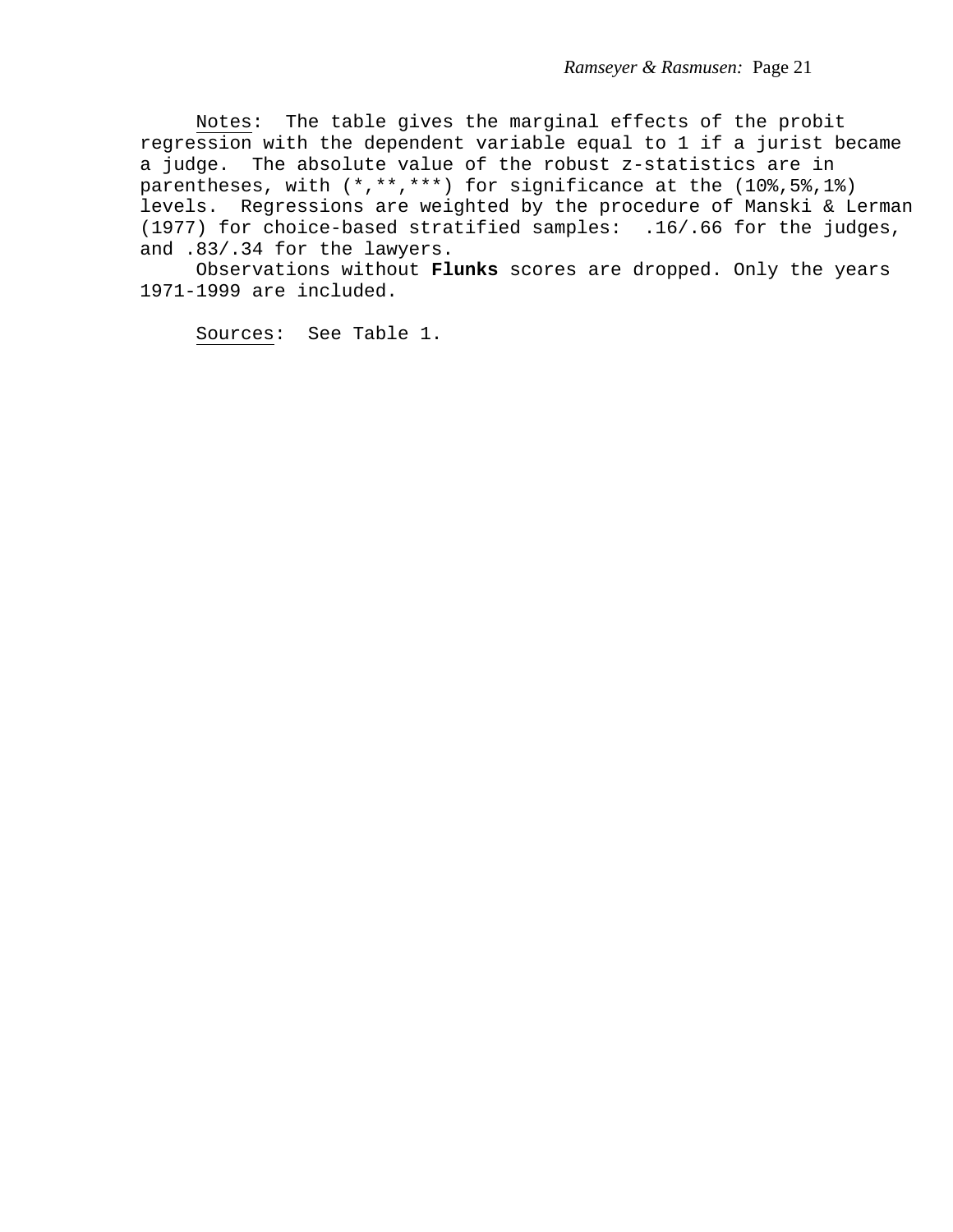Notes: The table gives the marginal effects of the probit regression with the dependent variable equal to 1 if a jurist became a judge. The absolute value of the robust z-statistics are in parentheses, with (\*,\*\*,\*\*\*) for significance at the (10%,5%,1%) levels. Regressions are weighted by the procedure of Manski & Lerman (1977) for choice-based stratified samples: .16/.66 for the judges, and .83/.34 for the lawyers.

 Observations without **Flunks** scores are dropped. Only the years 1971-1999 are included.

Sources: See Table 1.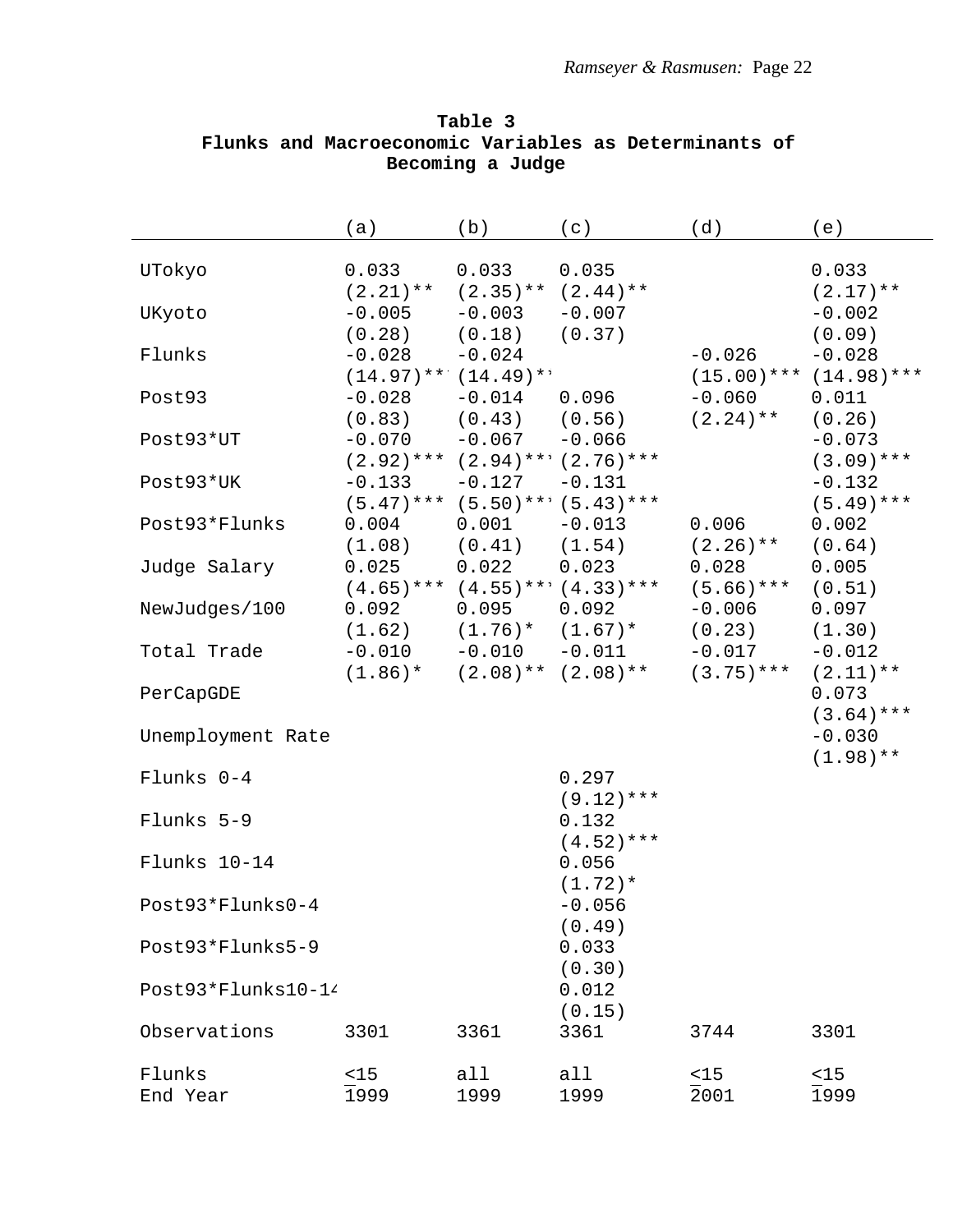|                    | (a)                                   | (b)                              | (c)                                                | (d)                      | (e)                                     |
|--------------------|---------------------------------------|----------------------------------|----------------------------------------------------|--------------------------|-----------------------------------------|
| UTokyo             | 0.033<br>$(2.21)$ **                  | 0.033<br>$(2.35)$ ** $(2.44)$ ** | 0.035                                              |                          | 0.033<br>$(2.17)$ **                    |
| UKyoto             | $-0.005$<br>(0.28)                    | $-0.003$<br>(0.18)               | $-0.007$<br>(0.37)                                 |                          | $-0.002$<br>(0.09)                      |
| Flunks             | $-0.028$<br>$(14.97)$ ** $(14.49)$ ** | $-0.024$                         |                                                    | $-0.026$                 | $-0.028$<br>$(15.00)$ *** $(14.98)$ *** |
| Post93             | $-0.028$<br>$(0.83)$ $(0.43)$         | $-0.014$                         | 0.096<br>(0.56)                                    | $-0.060$<br>$(2.24)$ **  | 0.011<br>(0.26)                         |
| Post93*UT          | $-0.070$                              | $-0.067$                         | $-0.066$<br>$(2.92)$ *** $(2.94)$ *** $(2.76)$ *** |                          | $-0.073$<br>$(3.09)$ ***                |
| Post93*UK          | $-0.133$                              | $-0.127$                         | $-0.131$<br>$(5.47)$ *** $(5.50)$ *** $(5.43)$ *** |                          | $-0.132$<br>$(5.49)$ ***                |
| Post93*Flunks      | 0.004<br>$(1.08)$ $(0.41)$            | 0.001                            | $-0.013$<br>(1.54)                                 | 0.006<br>$(2.26)$ **     | 0.002<br>(0.64)                         |
| Judge Salary       | 0.025                                 | 0.022                            | 0.023<br>$(4.65)$ *** $(4.55)$ *** $(4.33)$ ***    | 0.028<br>$(5.66)$ ***    | 0.005<br>(0.51)                         |
| NewJudges/100      | 0.092<br>(1.62)                       | 0.095                            | 0.092<br>$(1.76)*$ $(1.67)*$                       | $-0.006$<br>(0.23)       | 0.097<br>(1.30)                         |
| Total Trade        | $-0.010$<br>$(1.86)$ *                | $-0.010$<br>$(2.08)$ **          | $-0.011$<br>$(2.08)$ **                            | $-0.017$<br>$(3.75)$ *** | $-0.012$<br>$(2.11)$ **                 |
| PerCapGDE          |                                       |                                  |                                                    |                          | 0.073<br>$(3.64)$ ***                   |
| Unemployment Rate  |                                       |                                  |                                                    |                          | $-0.030$<br>$(1.98)$ **                 |
| Flunks 0-4         |                                       |                                  | 0.297<br>$(9.12)$ ***                              |                          |                                         |
| Flunks 5-9         |                                       |                                  | 0.132<br>$(4.52)$ ***                              |                          |                                         |
| Flunks 10-14       |                                       |                                  | 0.056<br>$(1.72)*$                                 |                          |                                         |
| Post93*Flunks0-4   |                                       |                                  | $-0.056$<br>(0.49)                                 |                          |                                         |
| Post93*Flunks5-9   |                                       |                                  | 0.033<br>(0.30)                                    |                          |                                         |
| Post93*Flunks10-14 |                                       |                                  | 0.012<br>(0.15)                                    |                          |                                         |
| Observations       | 3301                                  | 3361                             | 3361                                               | 3744                     | 3301                                    |
| Flunks<br>End Year | $<$ 15<br>1999                        | all<br>1999                      | all<br>1999                                        | $<$ 15<br>2001           | $<15$<br>1999                           |

**Table 3 Flunks and Macroeconomic Variables as Determinants of Becoming a Judge**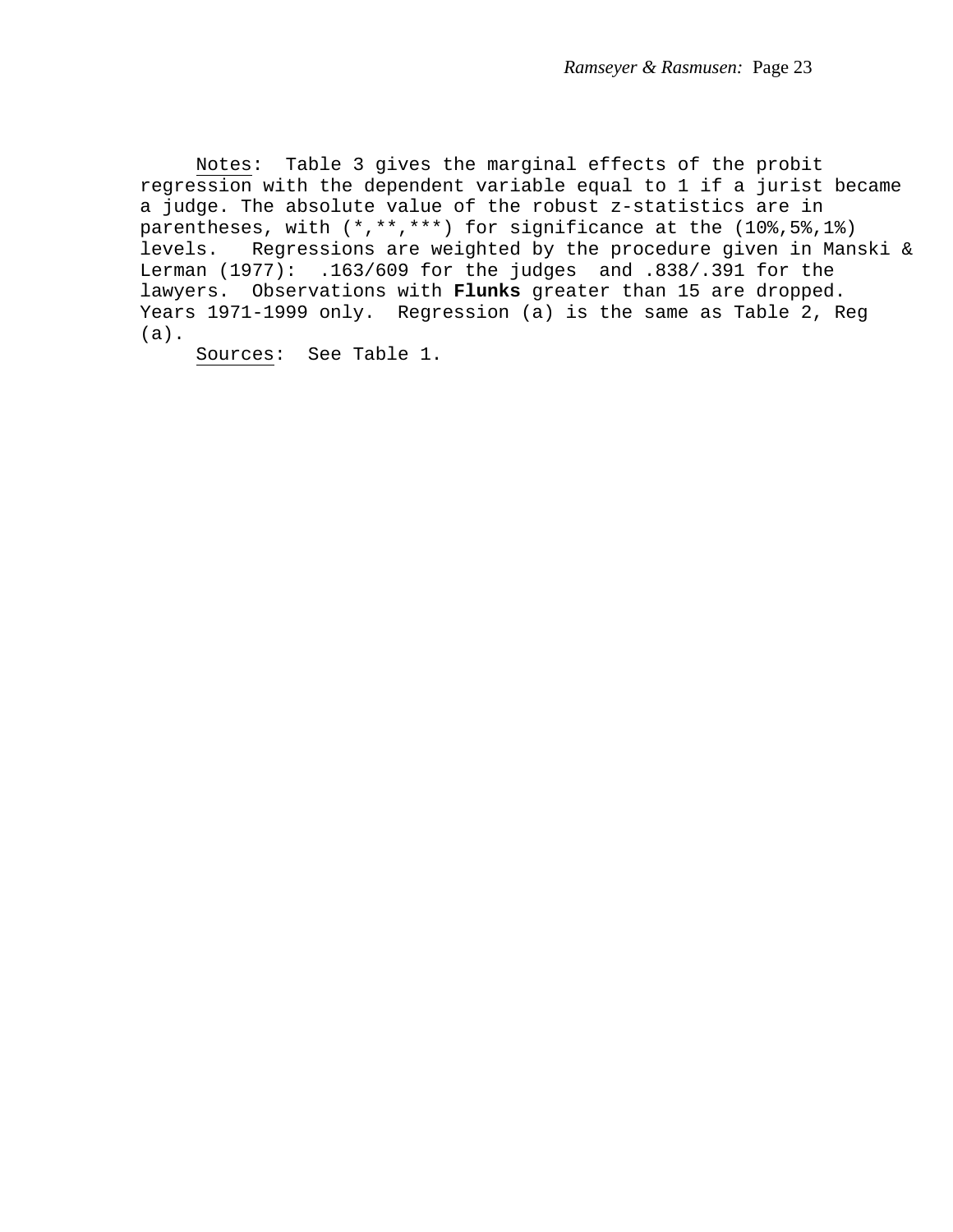Notes: Table 3 gives the marginal effects of the probit regression with the dependent variable equal to 1 if a jurist became a judge. The absolute value of the robust z-statistics are in parentheses, with (\*,\*\*,\*\*\*) for significance at the (10%,5%,1%) levels. Regressions are weighted by the procedure given in Manski & Lerman (1977): .163/609 for the judges and .838/.391 for the lawyers. Observations with **Flunks** greater than 15 are dropped. Years 1971-1999 only. Regression (a) is the same as Table 2, Reg (a).

Sources: See Table 1.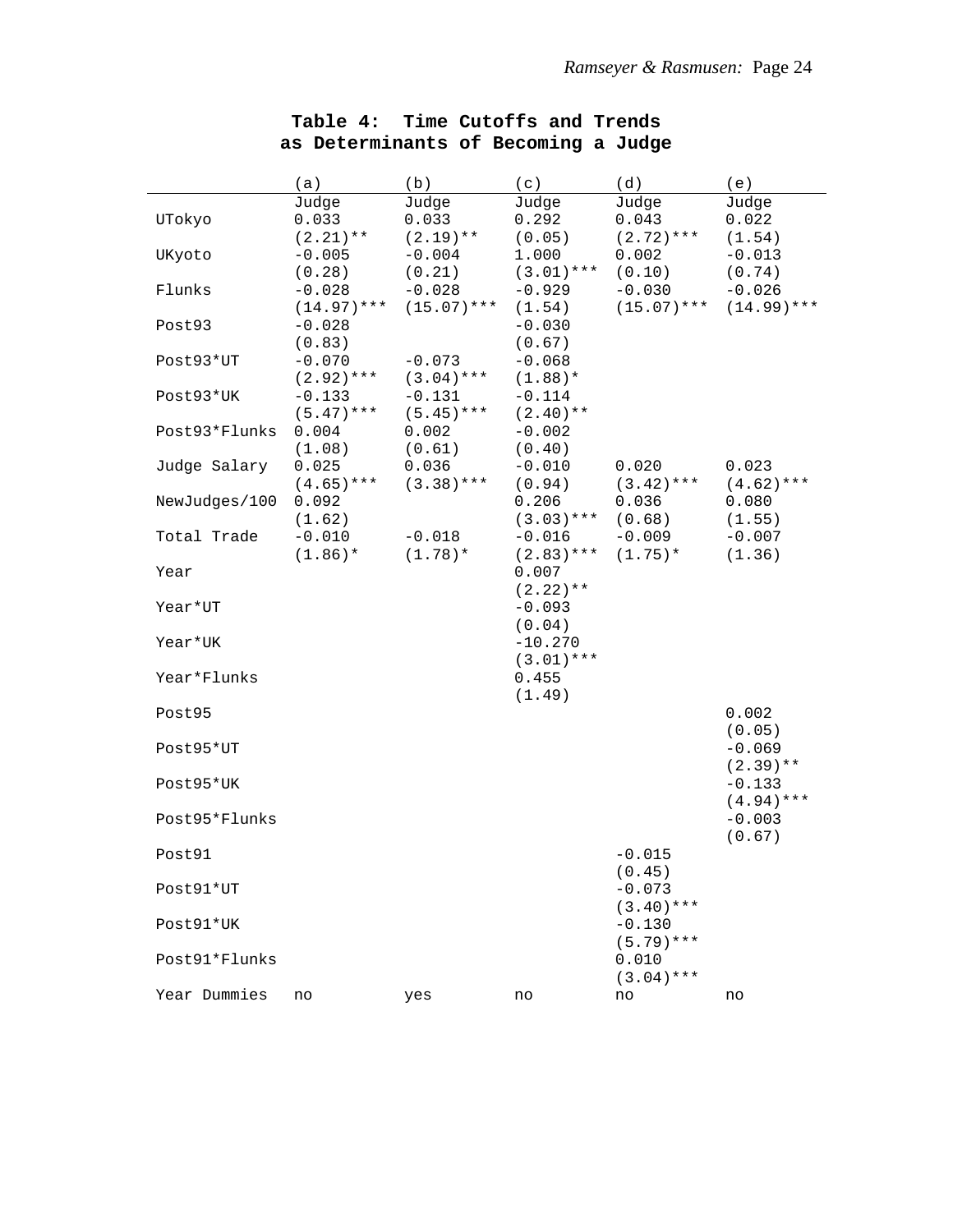|               | (a)                    | (b)                    | (c)                     | (d)                   | (e)                     |
|---------------|------------------------|------------------------|-------------------------|-----------------------|-------------------------|
|               | Judge                  | Judge                  | Judge                   | Judge                 | Judge                   |
| UTokyo        | 0.033                  | 0.033                  | 0.292                   | 0.043                 | 0.022                   |
|               | $(2.21)$ **            | $(2.19)$ **            | (0.05)                  | $(2.72)$ ***          | (1.54)                  |
| UKyoto        | $-0.005$               | $-0.004$               | 1.000                   | 0.002                 | $-0.013$                |
| Flunks        | (0.28)<br>$-0.028$     | (0.21)<br>$-0.028$     | $(3.01)***$<br>$-0.929$ | (0.10)<br>$-0.030$    | (0.74)<br>$-0.026$      |
|               | $(14.97)$ ***          | $(15.07)$ ***          | (1.54)                  | $(15.07)$ ***         | $(14.99)$ ***           |
| Post93        | $-0.028$               |                        | $-0.030$                |                       |                         |
|               | (0.83)                 |                        | (0.67)                  |                       |                         |
| Post93*UT     | $-0.070$               | $-0.073$               | $-0.068$                |                       |                         |
|               | $(2.92)$ ***           | $(3.04)$ ***           | $(1.88)$ *              |                       |                         |
| Post93*UK     | $-0.133$               | $-0.131$               | $-0.114$                |                       |                         |
|               | $(5.47)$ ***           | $(5.45)$ ***           | $(2.40)**$              |                       |                         |
| Post93*Flunks | 0.004                  | 0.002                  | $-0.002$                |                       |                         |
|               | (1.08)                 | (0.61)                 | (0.40)                  |                       |                         |
| Judge Salary  | 0.025                  | 0.036                  | $-0.010$                | 0.020                 | 0.023                   |
|               | $(4.65)$ ***           | $(3.38)***$            | (0.94)                  | $(3.42)$ ***          | $(4.62)$ ***            |
| NewJudges/100 | 0.092                  |                        | 0.206                   | 0.036                 | 0.080                   |
|               | (1.62)                 |                        | $(3.03)***$             | (0.68)                | (1.55)                  |
| Total Trade   | $-0.010$<br>$(1.86)$ * | $-0.018$<br>$(1.78)$ * | $-0.016$<br>$(2.83)***$ | $-0.009$<br>$(1.75)*$ | $-0.007$<br>(1.36)      |
| Year          |                        |                        | 0.007                   |                       |                         |
|               |                        |                        | $(2.22)$ **             |                       |                         |
| Year*UT       |                        |                        | $-0.093$                |                       |                         |
|               |                        |                        | (0.04)                  |                       |                         |
| Year*UK       |                        |                        | $-10.270$               |                       |                         |
|               |                        |                        | $(3.01)$ ***            |                       |                         |
| Year*Flunks   |                        |                        | 0.455                   |                       |                         |
|               |                        |                        | (1.49)                  |                       |                         |
| Post95        |                        |                        |                         |                       | 0.002                   |
|               |                        |                        |                         |                       | (0.05)                  |
| Post95*UT     |                        |                        |                         |                       | $-0.069$<br>$(2.39)$ ** |
| Post95*UK     |                        |                        |                         |                       | $-0.133$                |
|               |                        |                        |                         |                       | $(4.94)$ ***            |
| Post95*Flunks |                        |                        |                         |                       | $-0.003$                |
|               |                        |                        |                         |                       | (0.67)                  |
| Post91        |                        |                        |                         | $-0.015$              |                         |
|               |                        |                        |                         | (0.45)                |                         |
| Post91*UT     |                        |                        |                         | $-0.073$              |                         |
|               |                        |                        |                         | $(3.40)$ ***          |                         |
| Post91*UK     |                        |                        |                         | $-0.130$              |                         |
| Post91*Flunks |                        |                        |                         | $(5.79)$ ***<br>0.010 |                         |
|               |                        |                        |                         | $(3.04)$ ***          |                         |
| Year Dummies  | no                     | yes                    | no                      | no                    | no                      |
|               |                        |                        |                         |                       |                         |

# **Table 4: Time Cutoffs and Trends as Determinants of Becoming a Judge**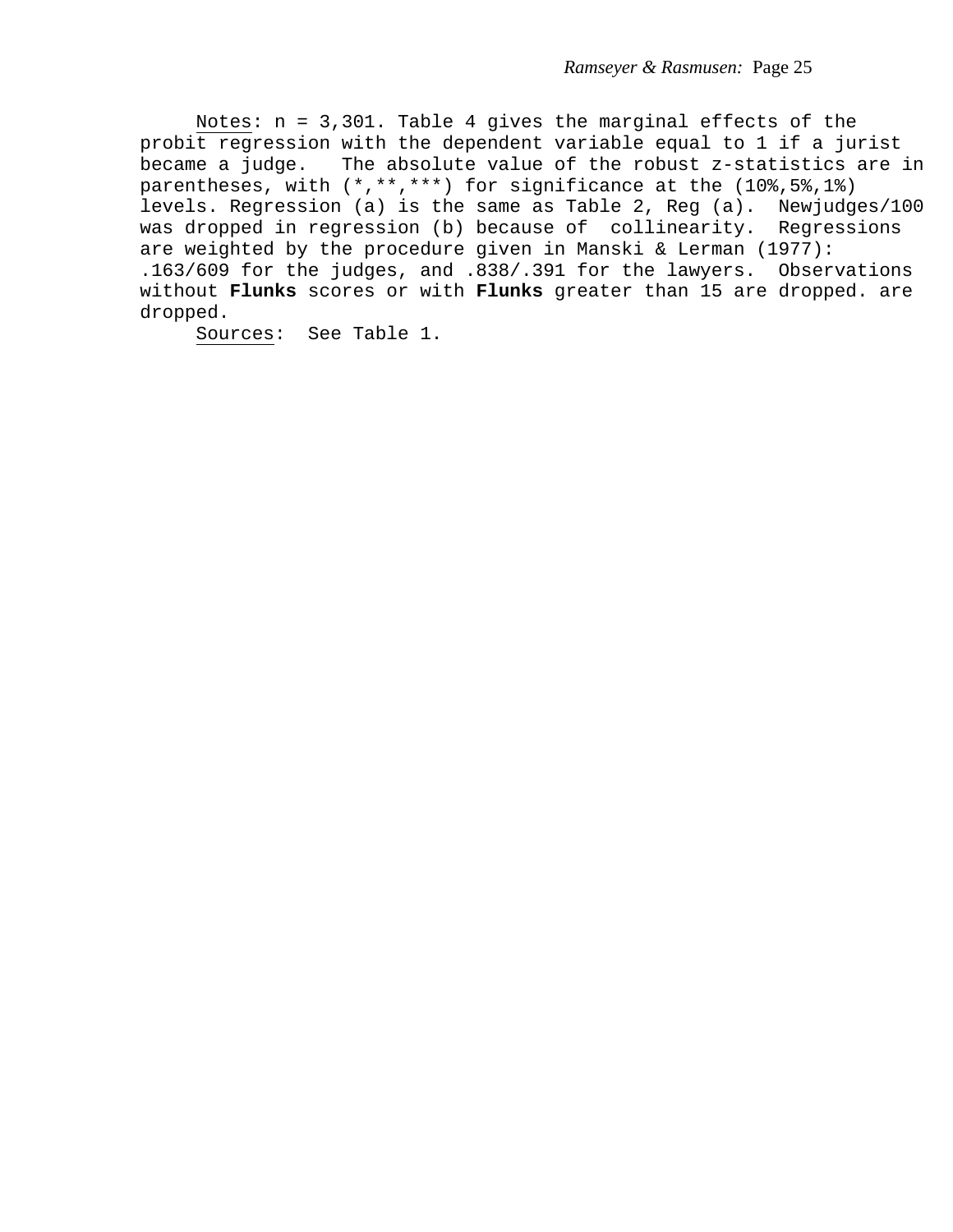Notes: n = 3,301. Table 4 gives the marginal effects of the probit regression with the dependent variable equal to 1 if a jurist became a judge. The absolute value of the robust z-statistics are in parentheses, with (\*,\*\*,\*\*\*) for significance at the (10%,5%,1%) levels. Regression (a) is the same as Table 2, Reg (a). Newjudges/100 was dropped in regression (b) because of collinearity. Regressions are weighted by the procedure given in Manski & Lerman (1977): .163/609 for the judges, and .838/.391 for the lawyers. Observations without **Flunks** scores or with **Flunks** greater than 15 are dropped. are dropped.

Sources: See Table 1.